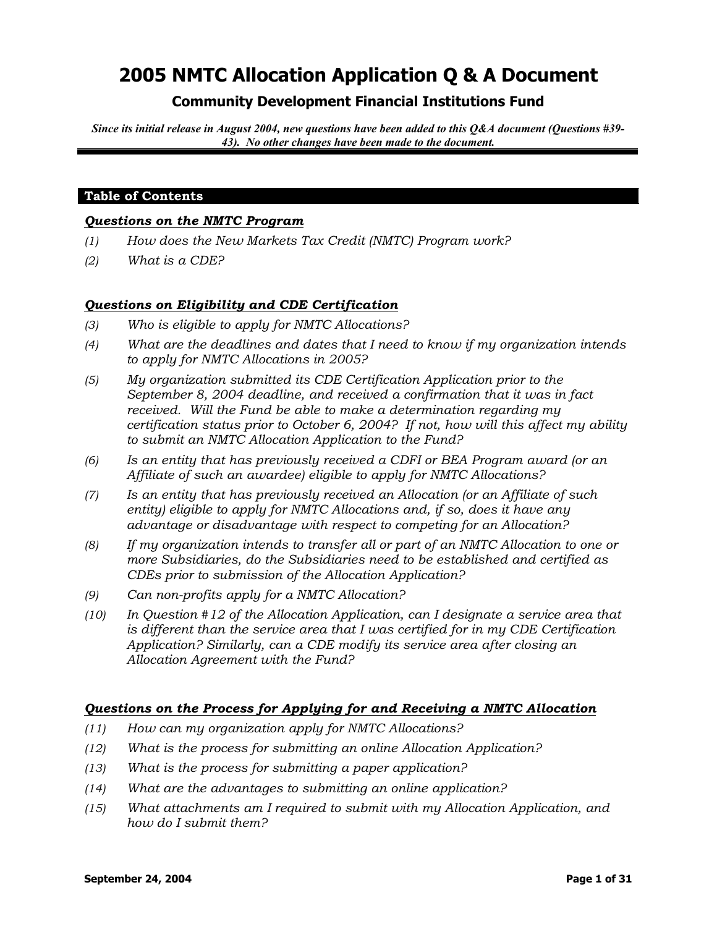## **Community Development Financial Institutions Fund**

*Since its initial release in August 2004, new questions have been added to this Q&A document (Questions #39- 43). No other changes have been made to the document.*

### **Table of Contents**

#### *Questions on the NMTC Program*

- *(1) How does the New Markets Tax Credit (NMTC) Program work?*
- *(2) What is a CDE?*

#### *Questions on Eligibility and CDE Certification*

- *(3) Who is eligible to apply for NMTC Allocations?*
- *(4) What are the deadlines and dates that I need to know if my organization intends to apply for NMTC Allocations in 2005?*
- *(5) My organization submitted its CDE Certification Application prior to the September 8, 2004 deadline, and received a confirmation that it was in fact received. Will the Fund be able to make a determination regarding my certification status prior to October 6, 2004? If not, how will this affect my ability to submit an NMTC Allocation Application to the Fund?*
- *(6) Is an entity that has previously received a CDFI or BEA Program award (or an Affiliate of such an awardee) eligible to apply for NMTC Allocations?*
- *(7) Is an entity that has previously received an Allocation (or an Affiliate of such entity) eligible to apply for NMTC Allocations and, if so, does it have any advantage or disadvantage with respect to competing for an Allocation?*
- *(8) If my organization intends to transfer all or part of an NMTC Allocation to one or more Subsidiaries, do the Subsidiaries need to be established and certified as CDEs prior to submission of the Allocation Application?*
- *(9) Can non-profits apply for a NMTC Allocation?*
- *(10) In Question #12 of the Allocation Application, can I designate a service area that is different than the service area that I was certified for in my CDE Certification Application? Similarly, can a CDE modify its service area after closing an Allocation Agreement with the Fund?*

### *Questions on the Process for Applying for and Receiving a NMTC Allocation*

- *(11) How can my organization apply for NMTC Allocations?*
- *(12) What is the process for submitting an online Allocation Application?*
- *(13) What is the process for submitting a paper application?*
- *(14) What are the advantages to submitting an online application?*
- *(15) What attachments am I required to submit with my Allocation Application, and how do I submit them?*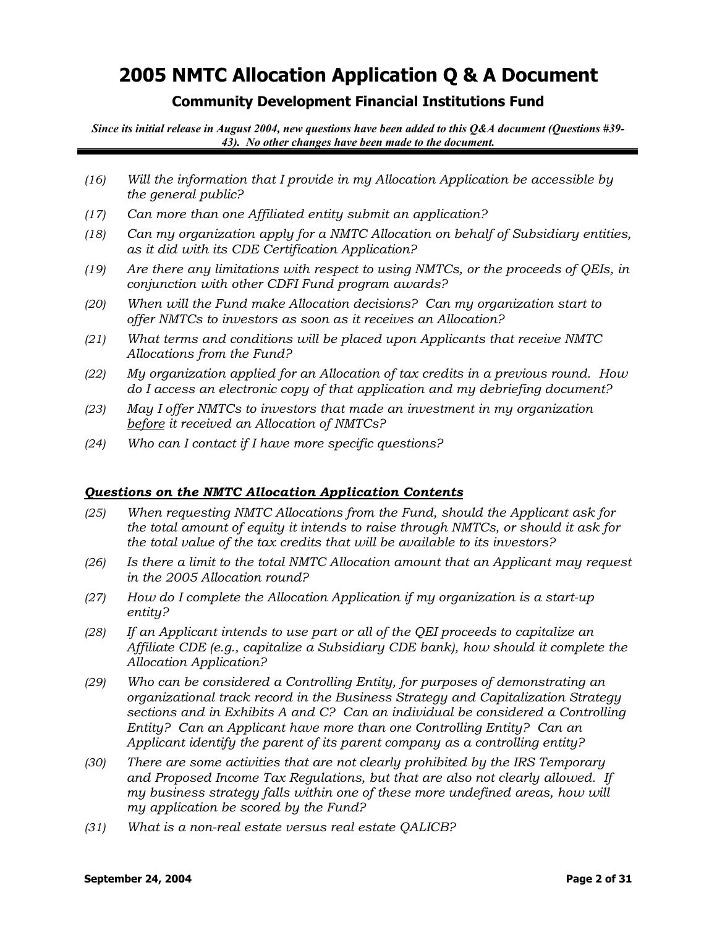## **Community Development Financial Institutions Fund**

*Since its initial release in August 2004, new questions have been added to this Q&A document (Questions #39- 43). No other changes have been made to the document.*

- *(16) Will the information that I provide in my Allocation Application be accessible by the general public?*
- *(17) Can more than one Affiliated entity submit an application?*
- *(18) Can my organization apply for a NMTC Allocation on behalf of Subsidiary entities, as it did with its CDE Certification Application?*
- *(19) Are there any limitations with respect to using NMTCs, or the proceeds of QEIs, in conjunction with other CDFI Fund program awards?*
- *(20) When will the Fund make Allocation decisions? Can my organization start to offer NMTCs to investors as soon as it receives an Allocation?*
- *(21) What terms and conditions will be placed upon Applicants that receive NMTC Allocations from the Fund?*
- *(22) My organization applied for an Allocation of tax credits in a previous round. How do I access an electronic copy of that application and my debriefing document?*
- *(23) May I offer NMTCs to investors that made an investment in my organization before it received an Allocation of NMTCs?*
- *(24) Who can I contact if I have more specific questions?*

### *Questions on the NMTC Allocation Application Contents*

- *(25) When requesting NMTC Allocations from the Fund, should the Applicant ask for the total amount of equity it intends to raise through NMTCs, or should it ask for the total value of the tax credits that will be available to its investors?*
- *(26) Is there a limit to the total NMTC Allocation amount that an Applicant may request in the 2005 Allocation round?*
- *(27) How do I complete the Allocation Application if my organization is a start-up entity?*
- *(28) If an Applicant intends to use part or all of the QEI proceeds to capitalize an Affiliate CDE (e.g., capitalize a Subsidiary CDE bank), how should it complete the Allocation Application?*
- *(29) Who can be considered a Controlling Entity, for purposes of demonstrating an organizational track record in the Business Strategy and Capitalization Strategy sections and in Exhibits A and C? Can an individual be considered a Controlling Entity? Can an Applicant have more than one Controlling Entity? Can an Applicant identify the parent of its parent company as a controlling entity?*
- *(30) There are some activities that are not clearly prohibited by the IRS Temporary and Proposed Income Tax Regulations, but that are also not clearly allowed. If my business strategy falls within one of these more undefined areas, how will my application be scored by the Fund?*
- *(31) What is a non-real estate versus real estate QALICB?*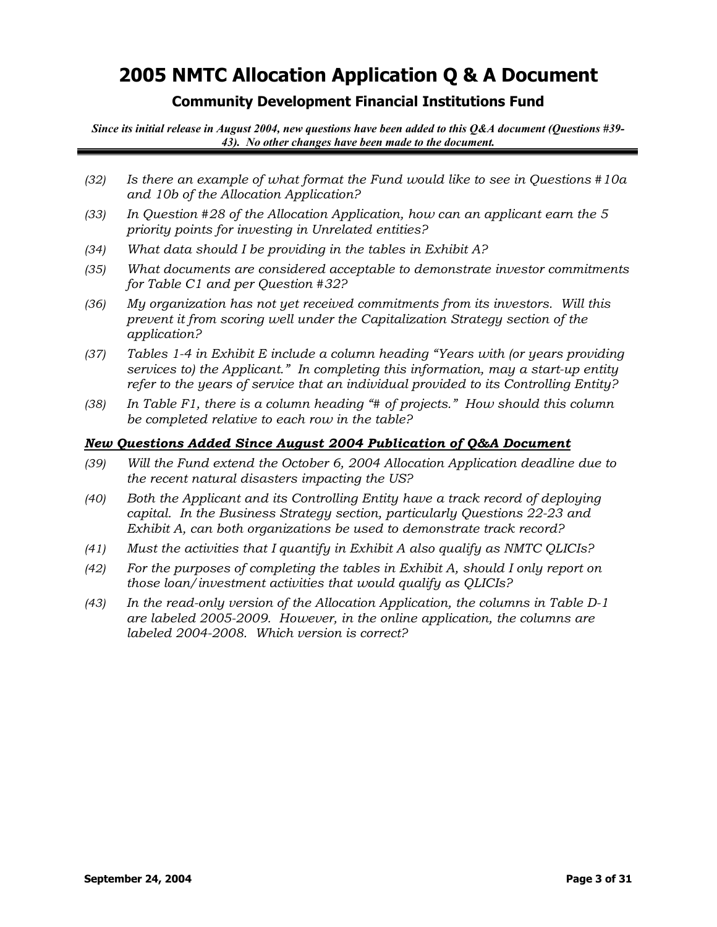## **Community Development Financial Institutions Fund**

*Since its initial release in August 2004, new questions have been added to this Q&A document (Questions #39- 43). No other changes have been made to the document.*

- *(32) Is there an example of what format the Fund would like to see in Questions #10a and 10b of the Allocation Application?*
- *(33) In Question #28 of the Allocation Application, how can an applicant earn the 5 priority points for investing in Unrelated entities?*
- *(34) What data should I be providing in the tables in Exhibit A?*
- *(35) What documents are considered acceptable to demonstrate investor commitments for Table C1 and per Question #32?*
- *(36) My organization has not yet received commitments from its investors. Will this prevent it from scoring well under the Capitalization Strategy section of the application?*
- *(37) Tables 1-4 in Exhibit E include a column heading "Years with (or years providing services to) the Applicant." In completing this information, may a start-up entity refer to the years of service that an individual provided to its Controlling Entity?*
- *(38) In Table F1, there is a column heading "# of projects." How should this column be completed relative to each row in the table?*

### *New Questions Added Since August 2004 Publication of Q&A Document*

- *(39) Will the Fund extend the October 6, 2004 Allocation Application deadline due to the recent natural disasters impacting the US?*
- *(40) Both the Applicant and its Controlling Entity have a track record of deploying capital. In the Business Strategy section, particularly Questions 22-23 and Exhibit A, can both organizations be used to demonstrate track record?*
- *(41) Must the activities that I quantify in Exhibit A also qualify as NMTC QLICIs?*
- *(42) For the purposes of completing the tables in Exhibit A, should I only report on those loan/investment activities that would qualify as QLICIs?*
- *(43) In the read-only version of the Allocation Application, the columns in Table D-1 are labeled 2005-2009. However, in the online application, the columns are labeled 2004-2008. Which version is correct?*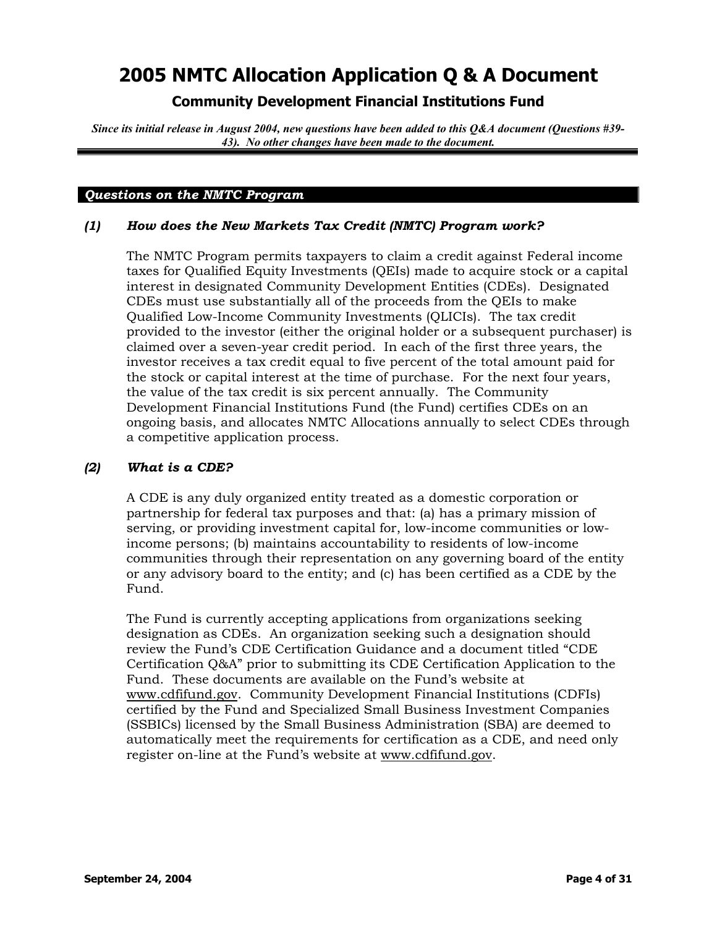## **Community Development Financial Institutions Fund**

*Since its initial release in August 2004, new questions have been added to this Q&A document (Questions #39- 43). No other changes have been made to the document.*

#### *Questions on the NMTC Program*

### *(1) How does the New Markets Tax Credit (NMTC) Program work?*

The NMTC Program permits taxpayers to claim a credit against Federal income taxes for Qualified Equity Investments (QEIs) made to acquire stock or a capital interest in designated Community Development Entities (CDEs). Designated CDEs must use substantially all of the proceeds from the QEIs to make Qualified Low-Income Community Investments (QLICIs). The tax credit provided to the investor (either the original holder or a subsequent purchaser) is claimed over a seven-year credit period. In each of the first three years, the investor receives a tax credit equal to five percent of the total amount paid for the stock or capital interest at the time of purchase. For the next four years, the value of the tax credit is six percent annually. The Community Development Financial Institutions Fund (the Fund) certifies CDEs on an ongoing basis, and allocates NMTC Allocations annually to select CDEs through a competitive application process.

### *(2) What is a CDE?*

A CDE is any duly organized entity treated as a domestic corporation or partnership for federal tax purposes and that: (a) has a primary mission of serving, or providing investment capital for, low-income communities or lowincome persons; (b) maintains accountability to residents of low-income communities through their representation on any governing board of the entity or any advisory board to the entity; and (c) has been certified as a CDE by the Fund.

The Fund is currently accepting applications from organizations seeking designation as CDEs. An organization seeking such a designation should review the Fund's CDE Certification Guidance and a document titled "CDE Certification Q&A" prior to submitting its CDE Certification Application to the Fund. These documents are available on the Fund's website at [www.cdfifund.gov.](http://www.cdfifund.gov/) Community Development Financial Institutions (CDFIs) certified by the Fund and Specialized Small Business Investment Companies (SSBICs) licensed by the Small Business Administration (SBA) are deemed to automatically meet the requirements for certification as a CDE, and need only register on-line at the Fund's website at [www.cdfifund.gov](http://www.cdfifund.gov/).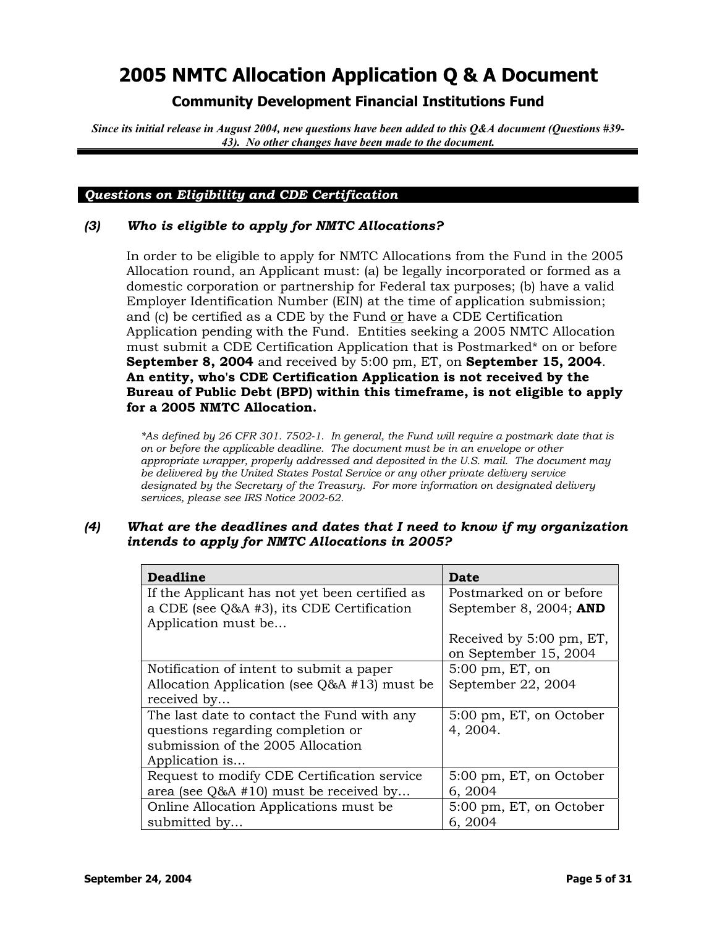## **Community Development Financial Institutions Fund**

*Since its initial release in August 2004, new questions have been added to this Q&A document (Questions #39- 43). No other changes have been made to the document.*

### *Questions on Eligibility and CDE Certification*

### *(3) Who is eligible to apply for NMTC Allocations?*

In order to be eligible to apply for NMTC Allocations from the Fund in the 2005 Allocation round, an Applicant must: (a) be legally incorporated or formed as a domestic corporation or partnership for Federal tax purposes; (b) have a valid Employer Identification Number (EIN) at the time of application submission; and (c) be certified as a CDE by the Fund or have a CDE Certification Application pending with the Fund. Entities seeking a 2005 NMTC Allocation must submit a CDE Certification Application that is Postmarked\* on or before **September 8, 2004** and received by 5:00 pm, ET, on **September 15, 2004**. **An entity, who's CDE Certification Application is not received by the Bureau of Public Debt (BPD) within this timeframe, is not eligible to apply for a 2005 NMTC Allocation.**

*\*As defined by 26 CFR 301. 7502-1. In general, the Fund will require a postmark date that is on or before the applicable deadline. The document must be in an envelope or other appropriate wrapper, properly addressed and deposited in the U.S. mail. The document may be delivered by the United States Postal Service or any other private delivery service designated by the Secretary of the Treasury. For more information on designated delivery services, please see IRS Notice 2002-62.*

#### *(4) What are the deadlines and dates that I need to know if my organization intends to apply for NMTC Allocations in 2005?*

| Deadline                                       | Date                       |
|------------------------------------------------|----------------------------|
| If the Applicant has not yet been certified as | Postmarked on or before    |
| a CDE (see Q&A #3), its CDE Certification      | September 8, 2004; AND     |
| Application must be                            |                            |
|                                                | Received by 5:00 pm, ET,   |
|                                                | on September 15, 2004      |
| Notification of intent to submit a paper       | $5:00 \text{ pm}$ , ET, on |
| Allocation Application (see $Q&A$ #13) must be | September 22, 2004         |
| received by                                    |                            |
| The last date to contact the Fund with any     | 5:00 pm, ET, on October    |
| questions regarding completion or              | 4, 2004.                   |
| submission of the 2005 Allocation              |                            |
| Application is                                 |                            |
| Request to modify CDE Certification service    | 5:00 pm, ET, on October    |
| area (see Q&A #10) must be received by         | 6, 2004                    |
| Online Allocation Applications must be         | 5:00 pm, ET, on October    |
| submitted by                                   | 6, 2004                    |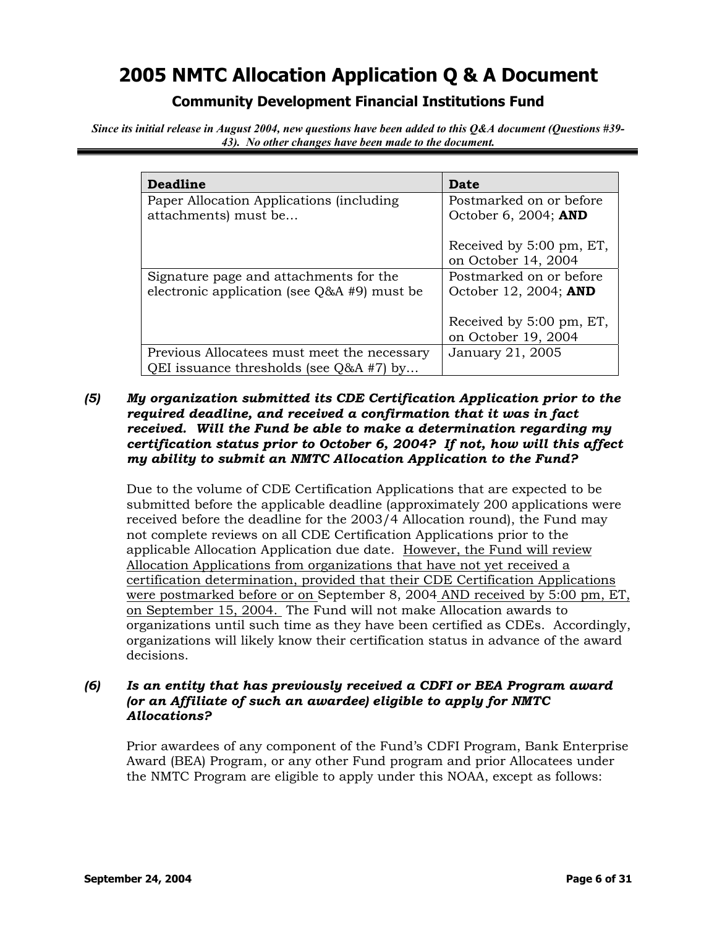## **Community Development Financial Institutions Fund**

*Since its initial release in August 2004, new questions have been added to this Q&A document (Questions #39- 43). No other changes have been made to the document.*

| <b>Deadline</b>                               | Date                     |
|-----------------------------------------------|--------------------------|
| Paper Allocation Applications (including)     | Postmarked on or before  |
| attachments) must be                          | October 6, 2004; AND     |
|                                               |                          |
|                                               | Received by 5:00 pm, ET, |
|                                               | on October 14, 2004      |
| Signature page and attachments for the        | Postmarked on or before  |
| electronic application (see $Q&A$ #9) must be | October 12, 2004; AND    |
|                                               |                          |
|                                               | Received by 5:00 pm, ET, |
|                                               | on October 19, 2004      |
| Previous Allocatees must meet the necessary   | January 21, 2005         |
| QEI issuance thresholds (see $Q&A #7$ ) by    |                          |

## *(5) My organization submitted its CDE Certification Application prior to the required deadline, and received a confirmation that it was in fact received. Will the Fund be able to make a determination regarding my certification status prior to October 6, 2004? If not, how will this affect my ability to submit an NMTC Allocation Application to the Fund?*

Due to the volume of CDE Certification Applications that are expected to be submitted before the applicable deadline (approximately 200 applications were received before the deadline for the 2003/4 Allocation round), the Fund may not complete reviews on all CDE Certification Applications prior to the applicable Allocation Application due date. However, the Fund will review Allocation Applications from organizations that have not yet received a certification determination, provided that their CDE Certification Applications were postmarked before or on September 8, 2004 AND received by 5:00 pm, ET, on September 15, 2004. The Fund will not make Allocation awards to organizations until such time as they have been certified as CDEs. Accordingly, organizations will likely know their certification status in advance of the award decisions.

### *(6) Is an entity that has previously received a CDFI or BEA Program award (or an Affiliate of such an awardee) eligible to apply for NMTC Allocations?*

Prior awardees of any component of the Fund's CDFI Program, Bank Enterprise Award (BEA) Program, or any other Fund program and prior Allocatees under the NMTC Program are eligible to apply under this NOAA, except as follows: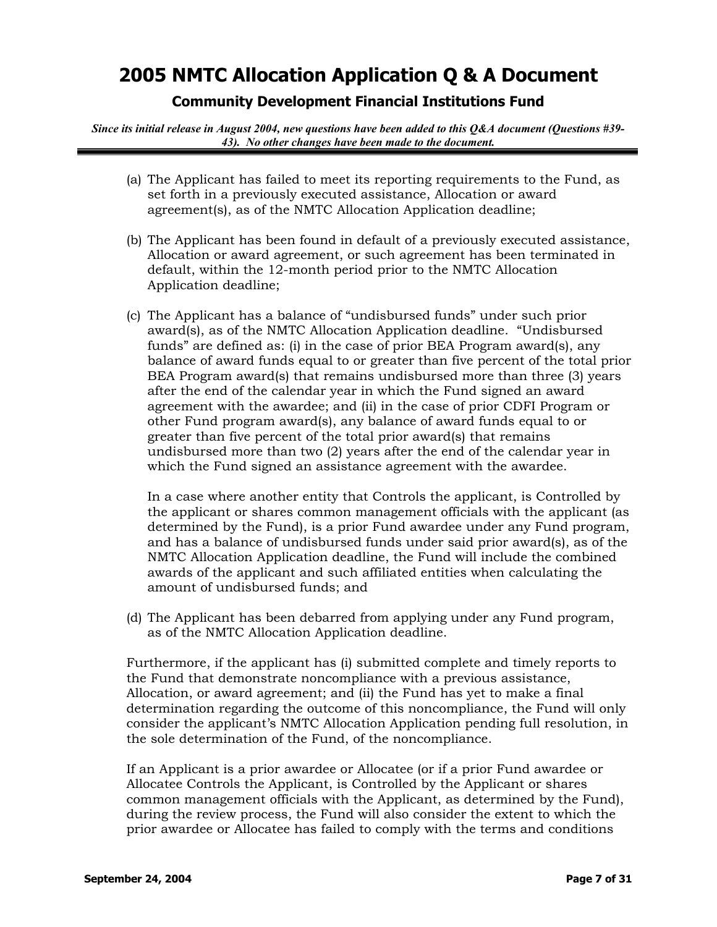## **Community Development Financial Institutions Fund**

*Since its initial release in August 2004, new questions have been added to this Q&A document (Questions #39- 43). No other changes have been made to the document.*

- (a) The Applicant has failed to meet its reporting requirements to the Fund, as set forth in a previously executed assistance, Allocation or award agreement(s), as of the NMTC Allocation Application deadline;
- (b) The Applicant has been found in default of a previously executed assistance, Allocation or award agreement, or such agreement has been terminated in default, within the 12-month period prior to the NMTC Allocation Application deadline;
- (c) The Applicant has a balance of "undisbursed funds" under such prior award(s), as of the NMTC Allocation Application deadline. "Undisbursed funds" are defined as: (i) in the case of prior BEA Program award(s), any balance of award funds equal to or greater than five percent of the total prior BEA Program award(s) that remains undisbursed more than three (3) years after the end of the calendar year in which the Fund signed an award agreement with the awardee; and (ii) in the case of prior CDFI Program or other Fund program award(s), any balance of award funds equal to or greater than five percent of the total prior award(s) that remains undisbursed more than two (2) years after the end of the calendar year in which the Fund signed an assistance agreement with the awardee.

In a case where another entity that Controls the applicant, is Controlled by the applicant or shares common management officials with the applicant (as determined by the Fund), is a prior Fund awardee under any Fund program, and has a balance of undisbursed funds under said prior award(s), as of the NMTC Allocation Application deadline, the Fund will include the combined awards of the applicant and such affiliated entities when calculating the amount of undisbursed funds; and

(d) The Applicant has been debarred from applying under any Fund program, as of the NMTC Allocation Application deadline.

Furthermore, if the applicant has (i) submitted complete and timely reports to the Fund that demonstrate noncompliance with a previous assistance, Allocation, or award agreement; and (ii) the Fund has yet to make a final determination regarding the outcome of this noncompliance, the Fund will only consider the applicant's NMTC Allocation Application pending full resolution, in the sole determination of the Fund, of the noncompliance.

If an Applicant is a prior awardee or Allocatee (or if a prior Fund awardee or Allocatee Controls the Applicant, is Controlled by the Applicant or shares common management officials with the Applicant, as determined by the Fund), during the review process, the Fund will also consider the extent to which the prior awardee or Allocatee has failed to comply with the terms and conditions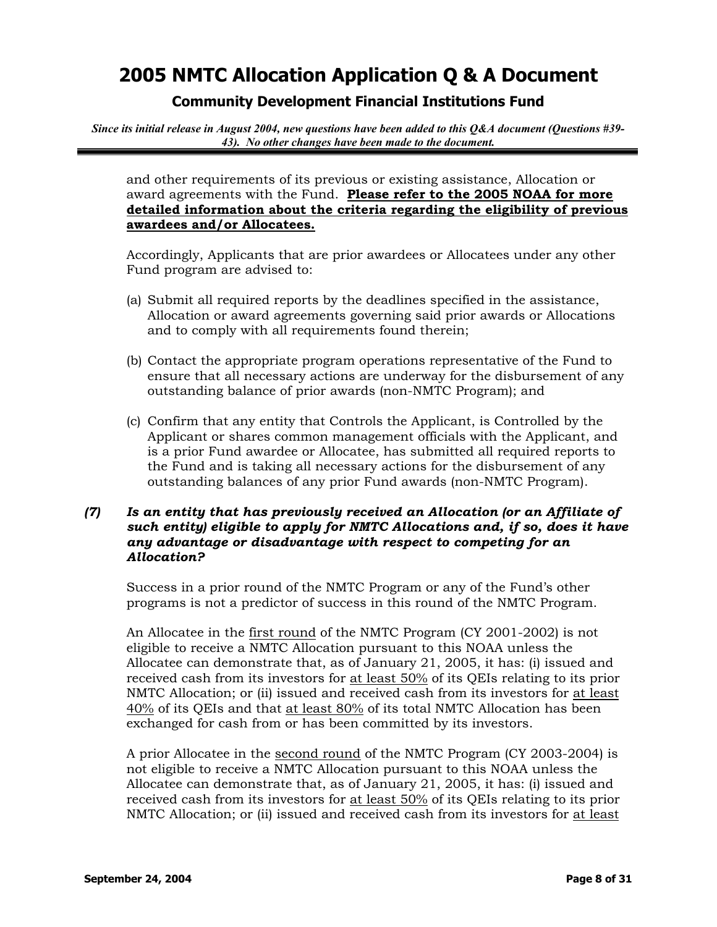## **Community Development Financial Institutions Fund**

*Since its initial release in August 2004, new questions have been added to this Q&A document (Questions #39- 43). No other changes have been made to the document.*

and other requirements of its previous or existing assistance, Allocation or award agreements with the Fund. **Please refer to the 2005 NOAA for more detailed information about the criteria regarding the eligibility of previous awardees and/or Allocatees.**

Accordingly, Applicants that are prior awardees or Allocatees under any other Fund program are advised to:

- (a) Submit all required reports by the deadlines specified in the assistance, Allocation or award agreements governing said prior awards or Allocations and to comply with all requirements found therein;
- (b) Contact the appropriate program operations representative of the Fund to ensure that all necessary actions are underway for the disbursement of any outstanding balance of prior awards (non-NMTC Program); and
- (c) Confirm that any entity that Controls the Applicant, is Controlled by the Applicant or shares common management officials with the Applicant, and is a prior Fund awardee or Allocatee, has submitted all required reports to the Fund and is taking all necessary actions for the disbursement of any outstanding balances of any prior Fund awards (non-NMTC Program).

### *(7) Is an entity that has previously received an Allocation (or an Affiliate of such entity) eligible to apply for NMTC Allocations and, if so, does it have any advantage or disadvantage with respect to competing for an Allocation?*

Success in a prior round of the NMTC Program or any of the Fund's other programs is not a predictor of success in this round of the NMTC Program.

An Allocatee in the first round of the NMTC Program (CY 2001-2002) is not eligible to receive a NMTC Allocation pursuant to this NOAA unless the Allocatee can demonstrate that, as of January 21, 2005, it has: (i) issued and received cash from its investors for at least 50% of its QEIs relating to its prior NMTC Allocation; or (ii) issued and received cash from its investors for at least 40% of its QEIs and that at least 80% of its total NMTC Allocation has been exchanged for cash from or has been committed by its investors.

A prior Allocatee in the second round of the NMTC Program (CY 2003-2004) is not eligible to receive a NMTC Allocation pursuant to this NOAA unless the Allocatee can demonstrate that, as of January 21, 2005, it has: (i) issued and received cash from its investors for at least 50% of its QEIs relating to its prior NMTC Allocation; or (ii) issued and received cash from its investors for at least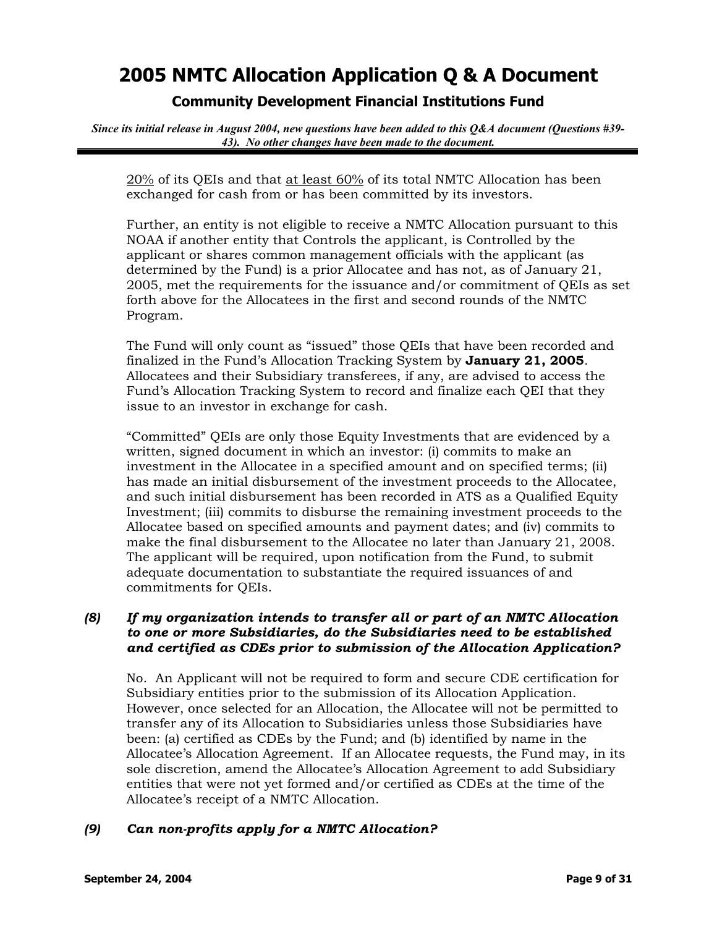## **Community Development Financial Institutions Fund**

*Since its initial release in August 2004, new questions have been added to this Q&A document (Questions #39- 43). No other changes have been made to the document.*

20% of its QEIs and that at least 60% of its total NMTC Allocation has been exchanged for cash from or has been committed by its investors.

Further, an entity is not eligible to receive a NMTC Allocation pursuant to this NOAA if another entity that Controls the applicant, is Controlled by the applicant or shares common management officials with the applicant (as determined by the Fund) is a prior Allocatee and has not, as of January 21, 2005, met the requirements for the issuance and/or commitment of QEIs as set forth above for the Allocatees in the first and second rounds of the NMTC Program.

The Fund will only count as "issued" those QEIs that have been recorded and finalized in the Fund's Allocation Tracking System by **January 21, 2005**. Allocatees and their Subsidiary transferees, if any, are advised to access the Fund's Allocation Tracking System to record and finalize each QEI that they issue to an investor in exchange for cash.

"Committed" QEIs are only those Equity Investments that are evidenced by a written, signed document in which an investor: (i) commits to make an investment in the Allocatee in a specified amount and on specified terms; (ii) has made an initial disbursement of the investment proceeds to the Allocatee, and such initial disbursement has been recorded in ATS as a Qualified Equity Investment; (iii) commits to disburse the remaining investment proceeds to the Allocatee based on specified amounts and payment dates; and (iv) commits to make the final disbursement to the Allocatee no later than January 21, 2008. The applicant will be required, upon notification from the Fund, to submit adequate documentation to substantiate the required issuances of and commitments for QEIs.

### *(8) If my organization intends to transfer all or part of an NMTC Allocation to one or more Subsidiaries, do the Subsidiaries need to be established and certified as CDEs prior to submission of the Allocation Application?*

No. An Applicant will not be required to form and secure CDE certification for Subsidiary entities prior to the submission of its Allocation Application. However, once selected for an Allocation, the Allocatee will not be permitted to transfer any of its Allocation to Subsidiaries unless those Subsidiaries have been: (a) certified as CDEs by the Fund; and (b) identified by name in the Allocatee's Allocation Agreement. If an Allocatee requests, the Fund may, in its sole discretion, amend the Allocatee's Allocation Agreement to add Subsidiary entities that were not yet formed and/or certified as CDEs at the time of the Allocatee's receipt of a NMTC Allocation.

### *(9) Can non-profits apply for a NMTC Allocation?*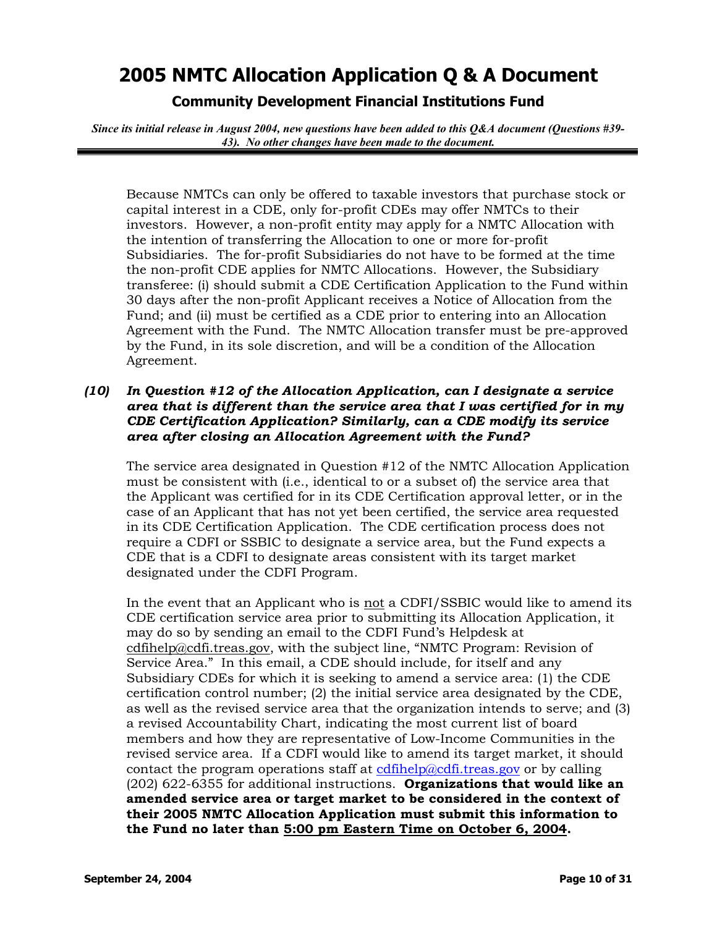**Community Development Financial Institutions Fund** 

*Since its initial release in August 2004, new questions have been added to this Q&A document (Questions #39- 43). No other changes have been made to the document.*

Because NMTCs can only be offered to taxable investors that purchase stock or capital interest in a CDE, only for-profit CDEs may offer NMTCs to their investors. However, a non-profit entity may apply for a NMTC Allocation with the intention of transferring the Allocation to one or more for-profit Subsidiaries. The for-profit Subsidiaries do not have to be formed at the time the non-profit CDE applies for NMTC Allocations. However, the Subsidiary transferee: (i) should submit a CDE Certification Application to the Fund within 30 days after the non-profit Applicant receives a Notice of Allocation from the Fund; and (ii) must be certified as a CDE prior to entering into an Allocation Agreement with the Fund. The NMTC Allocation transfer must be pre-approved by the Fund, in its sole discretion, and will be a condition of the Allocation Agreement.

### *(10) In Question #12 of the Allocation Application, can I designate a service area that is different than the service area that I was certified for in my CDE Certification Application? Similarly, can a CDE modify its service area after closing an Allocation Agreement with the Fund?*

The service area designated in Question #12 of the NMTC Allocation Application must be consistent with (i.e., identical to or a subset of) the service area that the Applicant was certified for in its CDE Certification approval letter, or in the case of an Applicant that has not yet been certified, the service area requested in its CDE Certification Application. The CDE certification process does not require a CDFI or SSBIC to designate a service area, but the Fund expects a CDE that is a CDFI to designate areas consistent with its target market designated under the CDFI Program.

In the event that an Applicant who is not a CDFI/SSBIC would like to amend its CDE certification service area prior to submitting its Allocation Application, it may do so by sending an email to the CDFI Fund's Helpdesk at [cdfihelp@cdfi.treas.gov,](mailto:cdfihelp@cdfi.treas.gov) with the subject line, "NMTC Program: Revision of Service Area." In this email, a CDE should include, for itself and any Subsidiary CDEs for which it is seeking to amend a service area: (1) the CDE certification control number; (2) the initial service area designated by the CDE, as well as the revised service area that the organization intends to serve; and (3) a revised Accountability Chart, indicating the most current list of board members and how they are representative of Low-Income Communities in the revised service area. If a CDFI would like to amend its target market, it should contact the program operations staff at [cdfihelp@cdfi.treas.gov](mailto:cdfihelp@cdfi.treas.gov) or by calling (202) 622-6355 for additional instructions. **Organizations that would like an amended service area or target market to be considered in the context of their 2005 NMTC Allocation Application must submit this information to the Fund no later than 5:00 pm Eastern Time on October 6, 2004.**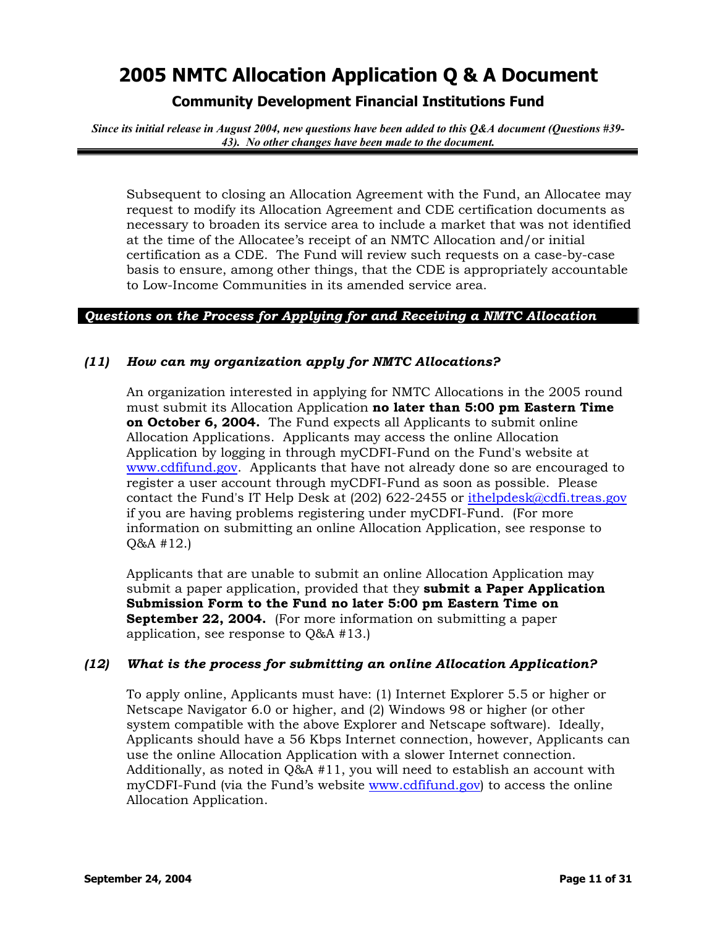**Community Development Financial Institutions Fund** 

*Since its initial release in August 2004, new questions have been added to this Q&A document (Questions #39- 43). No other changes have been made to the document.*

Subsequent to closing an Allocation Agreement with the Fund, an Allocatee may request to modify its Allocation Agreement and CDE certification documents as necessary to broaden its service area to include a market that was not identified at the time of the Allocatee's receipt of an NMTC Allocation and/or initial certification as a CDE. The Fund will review such requests on a case-by-case basis to ensure, among other things, that the CDE is appropriately accountable to Low-Income Communities in its amended service area.

### *Questions on the Process for Applying for and Receiving a NMTC Allocation*

### *(11) How can my organization apply for NMTC Allocations?*

An organization interested in applying for NMTC Allocations in the 2005 round must submit its Allocation Application **no later than 5:00 pm Eastern Time on October 6, 2004.** The Fund expects all Applicants to submit online Allocation Applications. Applicants may access the online Allocation Application by logging in through myCDFI-Fund on the Fund's website at [www.cdfifund.gov.](http://www.cdfifund.gov/) Applicants that have not already done so are encouraged to register a user account through myCDFI-Fund as soon as possible. Please contact the Fund's IT Help Desk at (202) 622-2455 or [ithelpdesk@cdfi.treas.gov](mailto:ithelpdesk@cdfi.treas.gov) if you are having problems registering under myCDFI-Fund. (For more information on submitting an online Allocation Application, see response to Q&A #12.)

Applicants that are unable to submit an online Allocation Application may submit a paper application, provided that they **submit a Paper Application Submission Form to the Fund no later 5:00 pm Eastern Time on September 22, 2004.** (For more information on submitting a paper application, see response to Q&A #13.)

### *(12) What is the process for submitting an online Allocation Application?*

To apply online, Applicants must have: (1) Internet Explorer 5.5 or higher or Netscape Navigator 6.0 or higher, and (2) Windows 98 or higher (or other system compatible with the above Explorer and Netscape software). Ideally, Applicants should have a 56 Kbps Internet connection, however, Applicants can use the online Allocation Application with a slower Internet connection. Additionally, as noted in Q&A #11, you will need to establish an account with myCDFI-Fund (via the Fund's website [www.cdfifund.gov](http://www.cdfifund.gov/)) to access the online Allocation Application.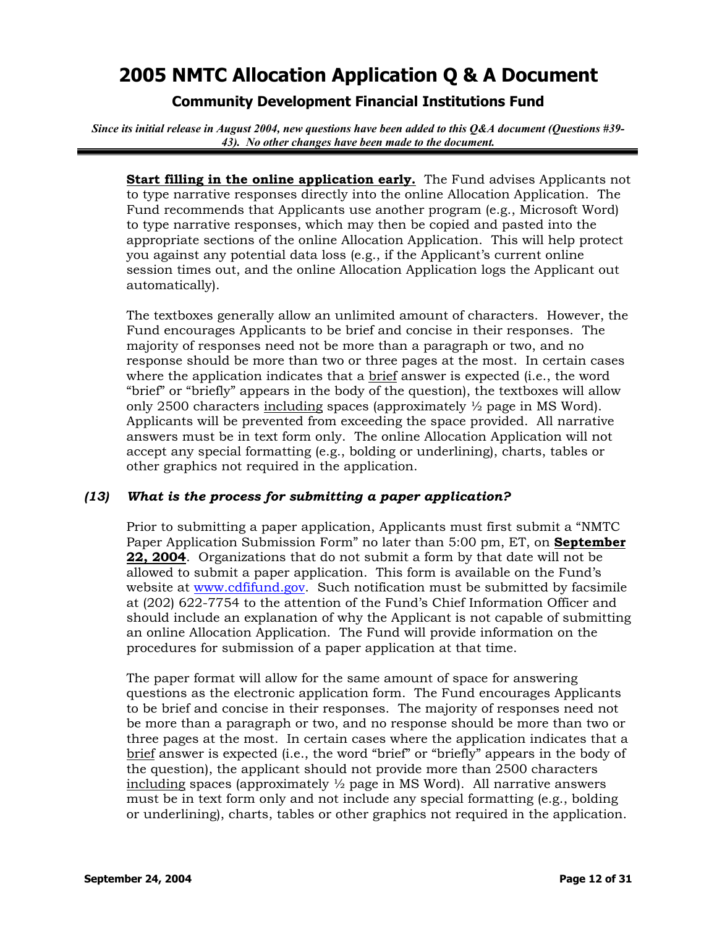## **Community Development Financial Institutions Fund**

*Since its initial release in August 2004, new questions have been added to this Q&A document (Questions #39- 43). No other changes have been made to the document.*

**Start filling in the online application early.** The Fund advises Applicants not to type narrative responses directly into the online Allocation Application. The Fund recommends that Applicants use another program (e.g., Microsoft Word) to type narrative responses, which may then be copied and pasted into the appropriate sections of the online Allocation Application. This will help protect you against any potential data loss (e.g., if the Applicant's current online session times out, and the online Allocation Application logs the Applicant out automatically).

The textboxes generally allow an unlimited amount of characters. However, the Fund encourages Applicants to be brief and concise in their responses. The majority of responses need not be more than a paragraph or two, and no response should be more than two or three pages at the most. In certain cases where the application indicates that a brief answer is expected (i.e., the word "brief" or "briefly" appears in the body of the question), the textboxes will allow only 2500 characters including spaces (approximately  $\frac{1}{2}$  page in MS Word). Applicants will be prevented from exceeding the space provided. All narrative answers must be in text form only. The online Allocation Application will not accept any special formatting (e.g., bolding or underlining), charts, tables or other graphics not required in the application.

### *(13) What is the process for submitting a paper application?*

Prior to submitting a paper application, Applicants must first submit a "NMTC Paper Application Submission Form" no later than 5:00 pm, ET, on **September 22, 2004**. Organizations that do not submit a form by that date will not be allowed to submit a paper application. This form is available on the Fund's website at [www.cdfifund.gov.](http://www.cdfifund.gov/) Such notification must be submitted by facsimile at (202) 622-7754 to the attention of the Fund's Chief Information Officer and should include an explanation of why the Applicant is not capable of submitting an online Allocation Application. The Fund will provide information on the procedures for submission of a paper application at that time.

The paper format will allow for the same amount of space for answering questions as the electronic application form. The Fund encourages Applicants to be brief and concise in their responses. The majority of responses need not be more than a paragraph or two, and no response should be more than two or three pages at the most. In certain cases where the application indicates that a brief answer is expected (i.e., the word "brief" or "briefly" appears in the body of the question), the applicant should not provide more than 2500 characters including spaces (approximately  $\frac{1}{2}$  page in MS Word). All narrative answers must be in text form only and not include any special formatting (e.g., bolding or underlining), charts, tables or other graphics not required in the application.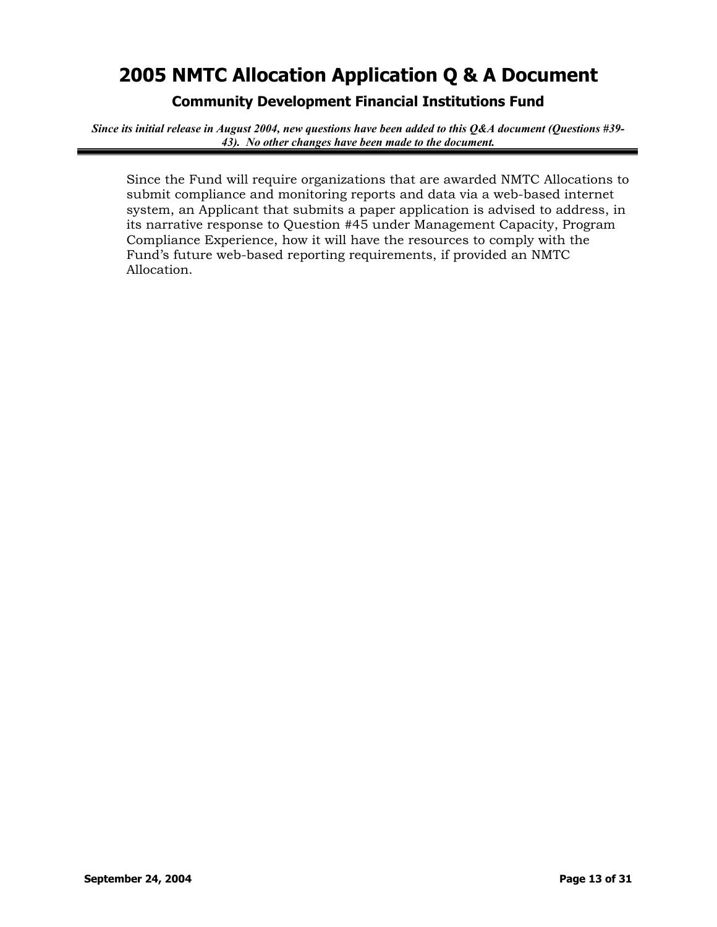**Community Development Financial Institutions Fund** 

*Since its initial release in August 2004, new questions have been added to this Q&A document (Questions #39- 43). No other changes have been made to the document.*

Since the Fund will require organizations that are awarded NMTC Allocations to submit compliance and monitoring reports and data via a web-based internet system, an Applicant that submits a paper application is advised to address, in its narrative response to Question #45 under Management Capacity, Program Compliance Experience, how it will have the resources to comply with the Fund's future web-based reporting requirements, if provided an NMTC Allocation.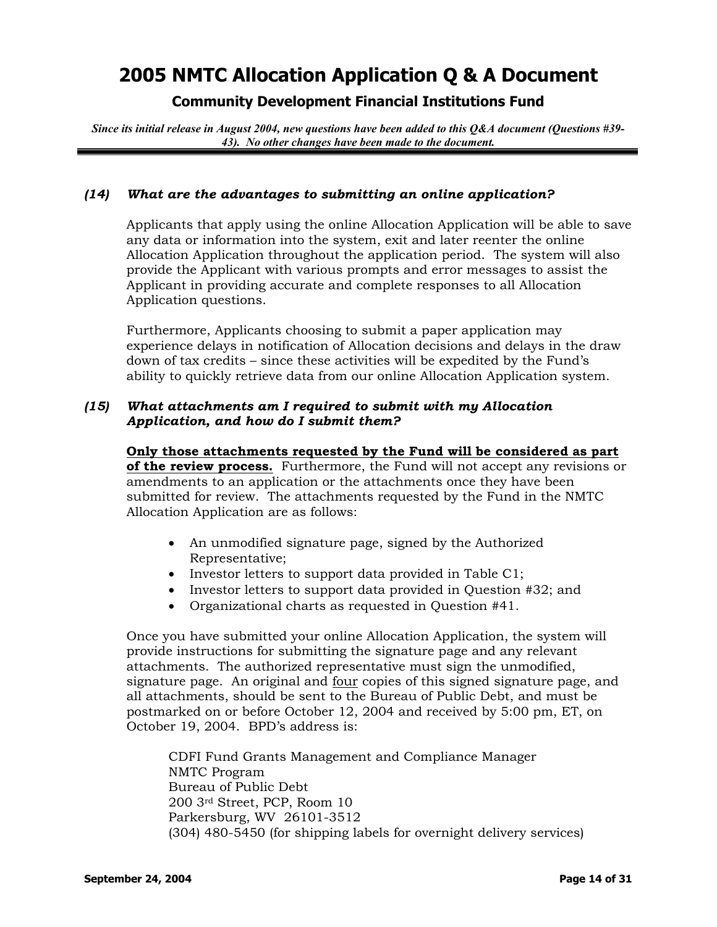## **Community Development Financial Institutions Fund**

*Since its initial release in August 2004, new questions have been added to this Q&A document (Questions #39- 43). No other changes have been made to the document.*

### *(14) What are the advantages to submitting an online application?*

Applicants that apply using the online Allocation Application will be able to save any data or information into the system, exit and later reenter the online Allocation Application throughout the application period. The system will also provide the Applicant with various prompts and error messages to assist the Applicant in providing accurate and complete responses to all Allocation Application questions.

Furthermore, Applicants choosing to submit a paper application may experience delays in notification of Allocation decisions and delays in the draw down of tax credits – since these activities will be expedited by the Fund's ability to quickly retrieve data from our online Allocation Application system.

### *(15) What attachments am I required to submit with my Allocation Application, and how do I submit them?*

**Only those attachments requested by the Fund will be considered as part of the review process.** Furthermore, the Fund will not accept any revisions or amendments to an application or the attachments once they have been submitted for review. The attachments requested by the Fund in the NMTC Allocation Application are as follows:

- An unmodified signature page, signed by the Authorized Representative;
- Investor letters to support data provided in Table C1;
- Investor letters to support data provided in Question #32; and
- Organizational charts as requested in Question #41.

Once you have submitted your online Allocation Application, the system will provide instructions for submitting the signature page and any relevant attachments. The authorized representative must sign the unmodified, signature page. An original and four copies of this signed signature page, and all attachments, should be sent to the Bureau of Public Debt, and must be postmarked on or before October 12, 2004 and received by 5:00 pm, ET, on October 19, 2004. BPD's address is:

CDFI Fund Grants Management and Compliance Manager NMTC Program Bureau of Public Debt 200 3rd Street, PCP, Room 10 Parkersburg, WV 26101-3512 (304) 480-5450 (for shipping labels for overnight delivery services)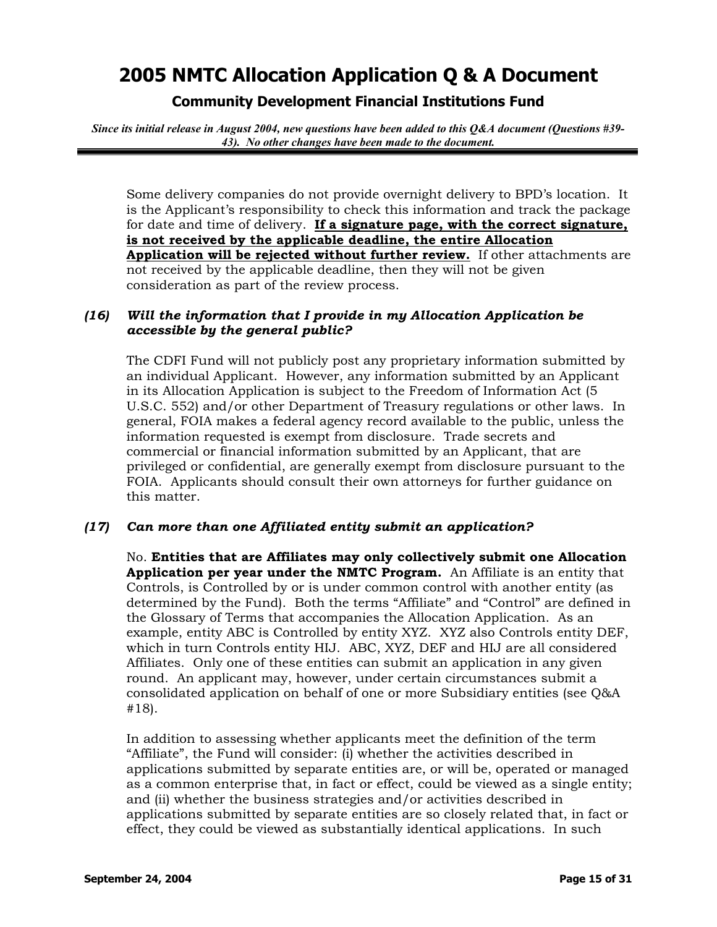## **Community Development Financial Institutions Fund**

*Since its initial release in August 2004, new questions have been added to this Q&A document (Questions #39- 43). No other changes have been made to the document.*

Some delivery companies do not provide overnight delivery to BPD's location. It is the Applicant's responsibility to check this information and track the package for date and time of delivery. **If a signature page, with the correct signature, is not received by the applicable deadline, the entire Allocation Application will be rejected without further review.** If other attachments are not received by the applicable deadline, then they will not be given consideration as part of the review process.

### *(16) Will the information that I provide in my Allocation Application be accessible by the general public?*

The CDFI Fund will not publicly post any proprietary information submitted by an individual Applicant. However, any information submitted by an Applicant in its Allocation Application is subject to the Freedom of Information Act (5 U.S.C. 552) and/or other Department of Treasury regulations or other laws. In general, FOIA makes a federal agency record available to the public, unless the information requested is exempt from disclosure. Trade secrets and commercial or financial information submitted by an Applicant, that are privileged or confidential, are generally exempt from disclosure pursuant to the FOIA. Applicants should consult their own attorneys for further guidance on this matter.

### *(17) Can more than one Affiliated entity submit an application?*

No. **Entities that are Affiliates may only collectively submit one Allocation Application per year under the NMTC Program.** An Affiliate is an entity that Controls, is Controlled by or is under common control with another entity (as determined by the Fund). Both the terms "Affiliate" and "Control" are defined in the Glossary of Terms that accompanies the Allocation Application. As an example, entity ABC is Controlled by entity XYZ. XYZ also Controls entity DEF, which in turn Controls entity HIJ. ABC, XYZ, DEF and HIJ are all considered Affiliates. Only one of these entities can submit an application in any given round. An applicant may, however, under certain circumstances submit a consolidated application on behalf of one or more Subsidiary entities (see Q&A #18).

In addition to assessing whether applicants meet the definition of the term "Affiliate", the Fund will consider: (i) whether the activities described in applications submitted by separate entities are, or will be, operated or managed as a common enterprise that, in fact or effect, could be viewed as a single entity; and (ii) whether the business strategies and/or activities described in applications submitted by separate entities are so closely related that, in fact or effect, they could be viewed as substantially identical applications. In such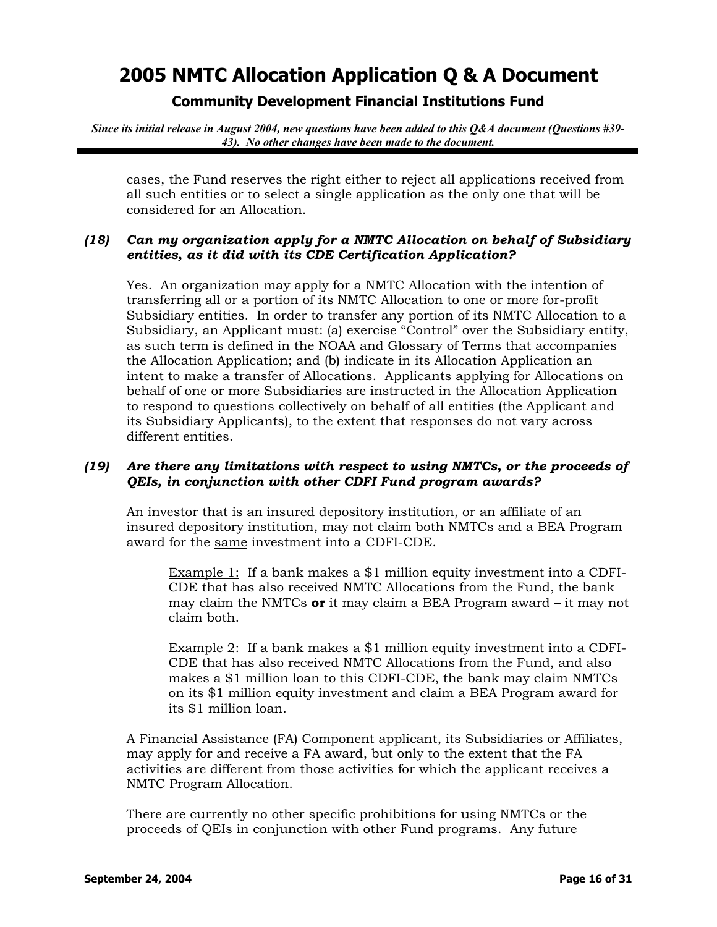## **Community Development Financial Institutions Fund**

*Since its initial release in August 2004, new questions have been added to this Q&A document (Questions #39- 43). No other changes have been made to the document.*

cases, the Fund reserves the right either to reject all applications received from all such entities or to select a single application as the only one that will be considered for an Allocation.

### *(18) Can my organization apply for a NMTC Allocation on behalf of Subsidiary entities, as it did with its CDE Certification Application?*

Yes. An organization may apply for a NMTC Allocation with the intention of transferring all or a portion of its NMTC Allocation to one or more for-profit Subsidiary entities. In order to transfer any portion of its NMTC Allocation to a Subsidiary, an Applicant must: (a) exercise "Control" over the Subsidiary entity, as such term is defined in the NOAA and Glossary of Terms that accompanies the Allocation Application; and (b) indicate in its Allocation Application an intent to make a transfer of Allocations. Applicants applying for Allocations on behalf of one or more Subsidiaries are instructed in the Allocation Application to respond to questions collectively on behalf of all entities (the Applicant and its Subsidiary Applicants), to the extent that responses do not vary across different entities.

### *(19) Are there any limitations with respect to using NMTCs, or the proceeds of QEIs, in conjunction with other CDFI Fund program awards?*

An investor that is an insured depository institution, or an affiliate of an insured depository institution, may not claim both NMTCs and a BEA Program award for the same investment into a CDFI-CDE.

Example 1: If a bank makes a \$1 million equity investment into a CDFI-CDE that has also received NMTC Allocations from the Fund, the bank may claim the NMTCs **or** it may claim a BEA Program award – it may not claim both.

Example 2: If a bank makes a \$1 million equity investment into a CDFI-CDE that has also received NMTC Allocations from the Fund, and also makes a \$1 million loan to this CDFI-CDE, the bank may claim NMTCs on its \$1 million equity investment and claim a BEA Program award for its \$1 million loan.

A Financial Assistance (FA) Component applicant, its Subsidiaries or Affiliates, may apply for and receive a FA award, but only to the extent that the FA activities are different from those activities for which the applicant receives a NMTC Program Allocation.

There are currently no other specific prohibitions for using NMTCs or the proceeds of QEIs in conjunction with other Fund programs. Any future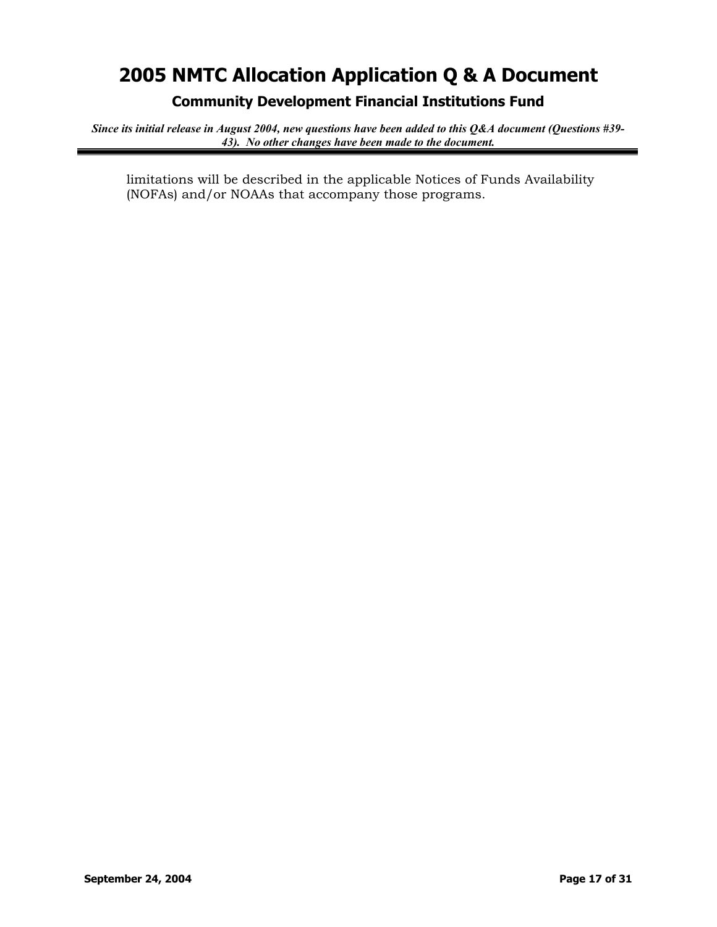**Community Development Financial Institutions Fund** 

*Since its initial release in August 2004, new questions have been added to this Q&A document (Questions #39- 43). No other changes have been made to the document.*

limitations will be described in the applicable Notices of Funds Availability (NOFAs) and/or NOAAs that accompany those programs.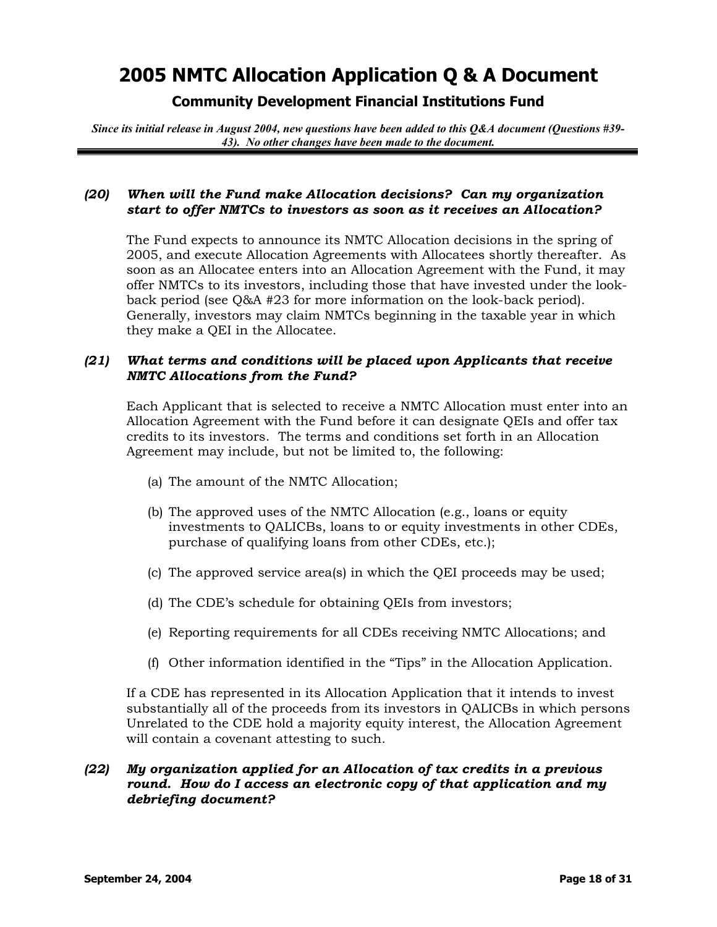## **Community Development Financial Institutions Fund**

*Since its initial release in August 2004, new questions have been added to this Q&A document (Questions #39- 43). No other changes have been made to the document.*

### *(20) When will the Fund make Allocation decisions? Can my organization start to offer NMTCs to investors as soon as it receives an Allocation?*

The Fund expects to announce its NMTC Allocation decisions in the spring of 2005, and execute Allocation Agreements with Allocatees shortly thereafter. As soon as an Allocatee enters into an Allocation Agreement with the Fund, it may offer NMTCs to its investors, including those that have invested under the lookback period (see Q&A #23 for more information on the look-back period). Generally, investors may claim NMTCs beginning in the taxable year in which they make a QEI in the Allocatee.

### *(21) What terms and conditions will be placed upon Applicants that receive NMTC Allocations from the Fund?*

Each Applicant that is selected to receive a NMTC Allocation must enter into an Allocation Agreement with the Fund before it can designate QEIs and offer tax credits to its investors. The terms and conditions set forth in an Allocation Agreement may include, but not be limited to, the following:

- (a) The amount of the NMTC Allocation;
- (b) The approved uses of the NMTC Allocation (e.g., loans or equity investments to QALICBs, loans to or equity investments in other CDEs, purchase of qualifying loans from other CDEs, etc.);
- (c) The approved service area(s) in which the QEI proceeds may be used;
- (d) The CDE's schedule for obtaining QEIs from investors;
- (e) Reporting requirements for all CDEs receiving NMTC Allocations; and
- (f) Other information identified in the "Tips" in the Allocation Application.

If a CDE has represented in its Allocation Application that it intends to invest substantially all of the proceeds from its investors in QALICBs in which persons Unrelated to the CDE hold a majority equity interest, the Allocation Agreement will contain a covenant attesting to such.

### *(22) My organization applied for an Allocation of tax credits in a previous round. How do I access an electronic copy of that application and my debriefing document?*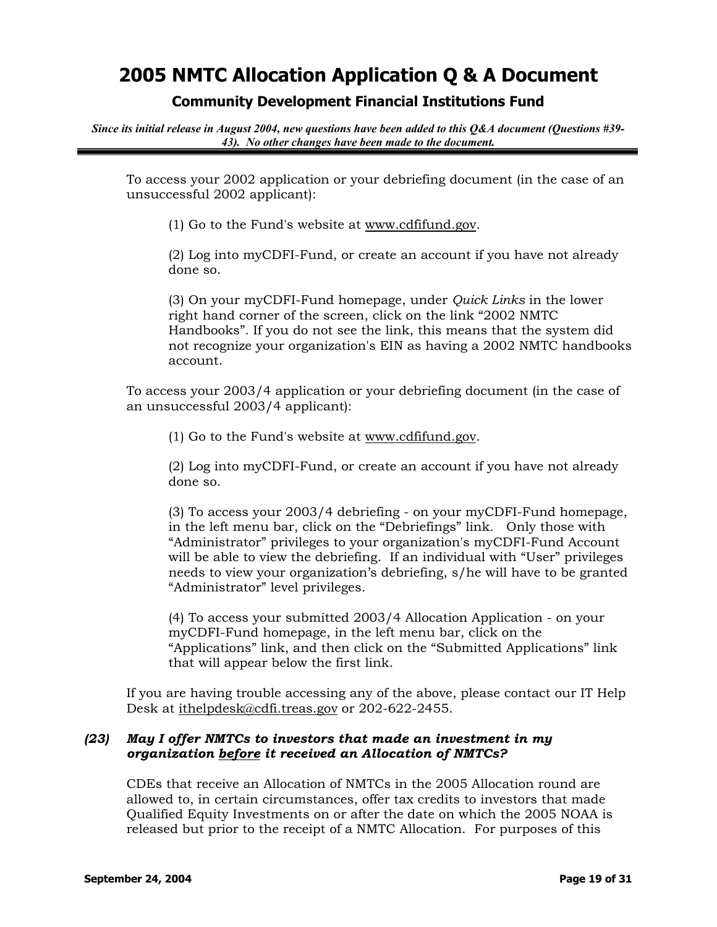## **Community Development Financial Institutions Fund**

*Since its initial release in August 2004, new questions have been added to this Q&A document (Questions #39- 43). No other changes have been made to the document.*

To access your 2002 application or your debriefing document (in the case of an unsuccessful 2002 applicant):

(1) Go to the Fund's website at [www.cdfifund.gov.](http://www.cdfifund.gov/)

(2) Log into myCDFI-Fund, or create an account if you have not already done so.

(3) On your myCDFI-Fund homepage, under *Quick Links* in the lower right hand corner of the screen, click on the link "2002 NMTC Handbooks". If you do not see the link, this means that the system did not recognize your organization's EIN as having a 2002 NMTC handbooks account.

To access your 2003/4 application or your debriefing document (in the case of an unsuccessful 2003/4 applicant):

(1) Go to the Fund's website at [www.cdfifund.gov.](http://www.cdfifund.gov/)

(2) Log into myCDFI-Fund, or create an account if you have not already done so.

(3) To access your 2003/4 debriefing - on your myCDFI-Fund homepage, in the left menu bar, click on the "Debriefings" link. Only those with "Administrator" privileges to your organization's myCDFI-Fund Account will be able to view the debriefing. If an individual with "User" privileges needs to view your organization's debriefing, s/he will have to be granted "Administrator" level privileges.

(4) To access your submitted 2003/4 Allocation Application - on your myCDFI-Fund homepage, in the left menu bar, click on the "Applications" link, and then click on the "Submitted Applications" link that will appear below the first link.

If you are having trouble accessing any of the above, please contact our IT Help Desk at [ithelpdesk@cdfi.treas.gov](mailto:ithelpdesk@cdfi.treas.gov) or 202-622-2455.

### *(23) May I offer NMTCs to investors that made an investment in my organization before it received an Allocation of NMTCs?*

CDEs that receive an Allocation of NMTCs in the 2005 Allocation round are allowed to, in certain circumstances, offer tax credits to investors that made Qualified Equity Investments on or after the date on which the 2005 NOAA is released but prior to the receipt of a NMTC Allocation. For purposes of this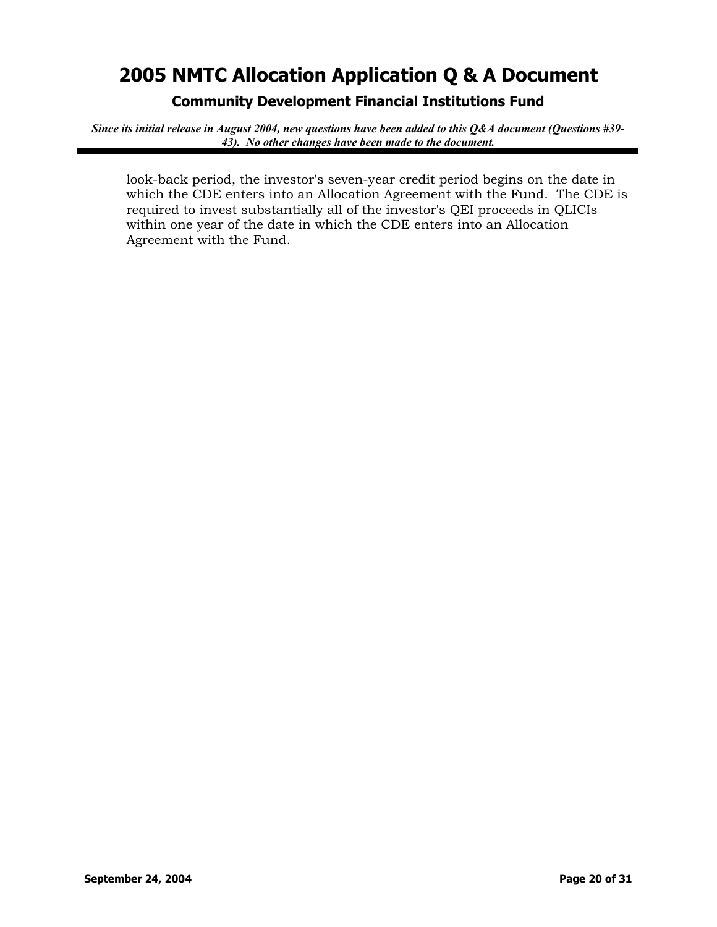**Community Development Financial Institutions Fund** 

*Since its initial release in August 2004, new questions have been added to this Q&A document (Questions #39- 43). No other changes have been made to the document.*

look-back period, the investor's seven-year credit period begins on the date in which the CDE enters into an Allocation Agreement with the Fund. The CDE is required to invest substantially all of the investor's QEI proceeds in QLICIs within one year of the date in which the CDE enters into an Allocation Agreement with the Fund.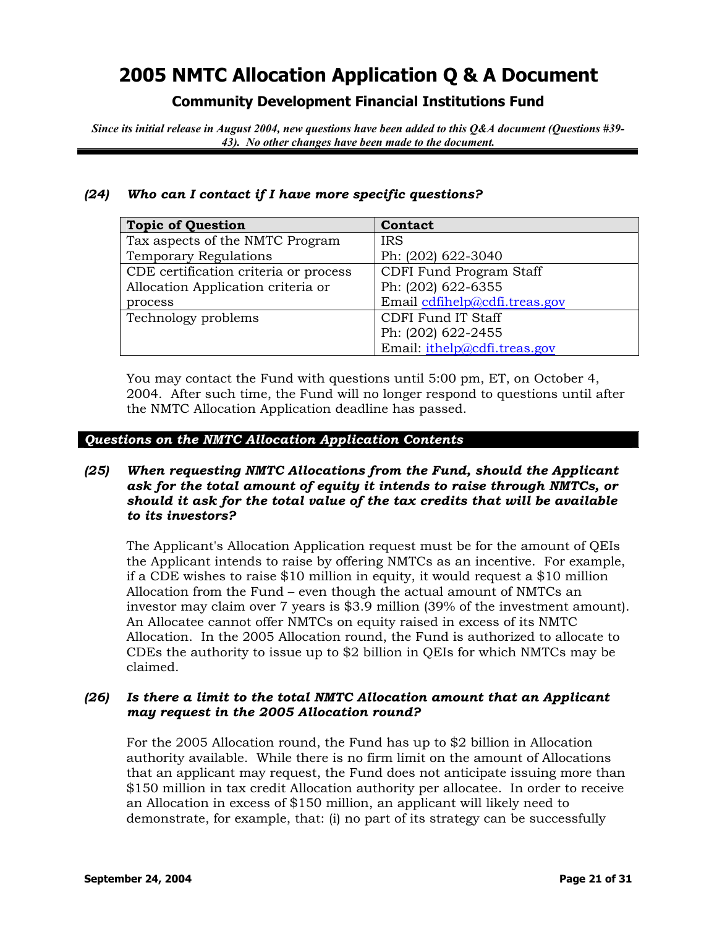**Community Development Financial Institutions Fund** 

*Since its initial release in August 2004, new questions have been added to this Q&A document (Questions #39- 43). No other changes have been made to the document.*

### *(24) Who can I contact if I have more specific questions?*

| <b>Topic of Question</b>              | Contact                       |
|---------------------------------------|-------------------------------|
| Tax aspects of the NMTC Program       | <b>IRS</b>                    |
| <b>Temporary Regulations</b>          | Ph: (202) 622-3040            |
| CDE certification criteria or process | CDFI Fund Program Staff       |
| Allocation Application criteria or    | Ph: (202) 622-6355            |
| process                               | Email cdfihelp@cdfi.treas.gov |
| Technology problems                   | CDFI Fund IT Staff            |
|                                       | Ph: (202) 622-2455            |
|                                       | Email: ithelp@cdfi.treas.gov  |

You may contact the Fund with questions until 5:00 pm, ET, on October 4, 2004. After such time, the Fund will no longer respond to questions until after the NMTC Allocation Application deadline has passed.

#### *Questions on the NMTC Allocation Application Contents*

### *(25) When requesting NMTC Allocations from the Fund, should the Applicant ask for the total amount of equity it intends to raise through NMTCs, or should it ask for the total value of the tax credits that will be available to its investors?*

The Applicant's Allocation Application request must be for the amount of QEIs the Applicant intends to raise by offering NMTCs as an incentive. For example, if a CDE wishes to raise \$10 million in equity, it would request a \$10 million Allocation from the Fund – even though the actual amount of NMTCs an investor may claim over 7 years is \$3.9 million (39% of the investment amount). An Allocatee cannot offer NMTCs on equity raised in excess of its NMTC Allocation. In the 2005 Allocation round, the Fund is authorized to allocate to CDEs the authority to issue up to \$2 billion in QEIs for which NMTCs may be claimed.

### *(26) Is there a limit to the total NMTC Allocation amount that an Applicant may request in the 2005 Allocation round?*

For the 2005 Allocation round, the Fund has up to \$2 billion in Allocation authority available. While there is no firm limit on the amount of Allocations that an applicant may request, the Fund does not anticipate issuing more than \$150 million in tax credit Allocation authority per allocatee. In order to receive an Allocation in excess of \$150 million, an applicant will likely need to demonstrate, for example, that: (i) no part of its strategy can be successfully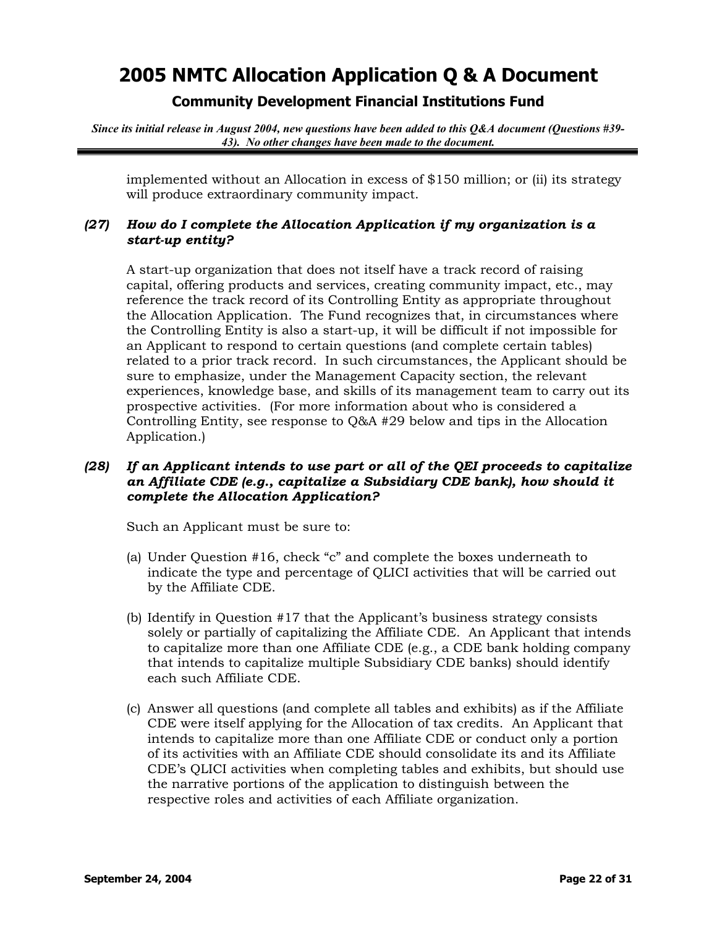## **Community Development Financial Institutions Fund**

*Since its initial release in August 2004, new questions have been added to this Q&A document (Questions #39- 43). No other changes have been made to the document.*

implemented without an Allocation in excess of \$150 million; or (ii) its strategy will produce extraordinary community impact.

### *(27) How do I complete the Allocation Application if my organization is a start-up entity?*

A start-up organization that does not itself have a track record of raising capital, offering products and services, creating community impact, etc., may reference the track record of its Controlling Entity as appropriate throughout the Allocation Application. The Fund recognizes that, in circumstances where the Controlling Entity is also a start-up, it will be difficult if not impossible for an Applicant to respond to certain questions (and complete certain tables) related to a prior track record. In such circumstances, the Applicant should be sure to emphasize, under the Management Capacity section, the relevant experiences, knowledge base, and skills of its management team to carry out its prospective activities. (For more information about who is considered a Controlling Entity, see response to Q&A #29 below and tips in the Allocation Application.)

### *(28) If an Applicant intends to use part or all of the QEI proceeds to capitalize an Affiliate CDE (e.g., capitalize a Subsidiary CDE bank), how should it complete the Allocation Application?*

Such an Applicant must be sure to:

- (a) Under Question #16, check "c" and complete the boxes underneath to indicate the type and percentage of QLICI activities that will be carried out by the Affiliate CDE.
- (b) Identify in Question #17 that the Applicant's business strategy consists solely or partially of capitalizing the Affiliate CDE. An Applicant that intends to capitalize more than one Affiliate CDE (e.g., a CDE bank holding company that intends to capitalize multiple Subsidiary CDE banks) should identify each such Affiliate CDE.
- (c) Answer all questions (and complete all tables and exhibits) as if the Affiliate CDE were itself applying for the Allocation of tax credits. An Applicant that intends to capitalize more than one Affiliate CDE or conduct only a portion of its activities with an Affiliate CDE should consolidate its and its Affiliate CDE's QLICI activities when completing tables and exhibits, but should use the narrative portions of the application to distinguish between the respective roles and activities of each Affiliate organization.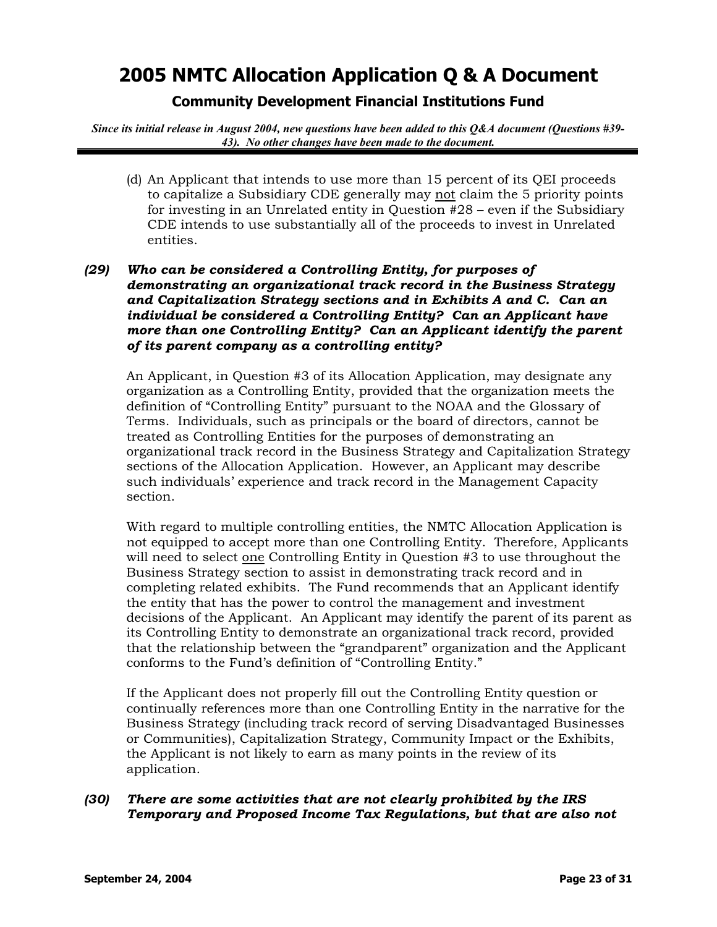## **Community Development Financial Institutions Fund**

*Since its initial release in August 2004, new questions have been added to this Q&A document (Questions #39- 43). No other changes have been made to the document.*

(d) An Applicant that intends to use more than 15 percent of its QEI proceeds to capitalize a Subsidiary CDE generally may not claim the 5 priority points for investing in an Unrelated entity in Question #28 – even if the Subsidiary CDE intends to use substantially all of the proceeds to invest in Unrelated entities.

## *(29) Who can be considered a Controlling Entity, for purposes of demonstrating an organizational track record in the Business Strategy and Capitalization Strategy sections and in Exhibits A and C. Can an individual be considered a Controlling Entity? Can an Applicant have more than one Controlling Entity? Can an Applicant identify the parent of its parent company as a controlling entity?*

An Applicant, in Question #3 of its Allocation Application, may designate any organization as a Controlling Entity, provided that the organization meets the definition of "Controlling Entity" pursuant to the NOAA and the Glossary of Terms. Individuals, such as principals or the board of directors, cannot be treated as Controlling Entities for the purposes of demonstrating an organizational track record in the Business Strategy and Capitalization Strategy sections of the Allocation Application. However, an Applicant may describe such individuals' experience and track record in the Management Capacity section.

With regard to multiple controlling entities, the NMTC Allocation Application is not equipped to accept more than one Controlling Entity. Therefore, Applicants will need to select one Controlling Entity in Question #3 to use throughout the Business Strategy section to assist in demonstrating track record and in completing related exhibits. The Fund recommends that an Applicant identify the entity that has the power to control the management and investment decisions of the Applicant. An Applicant may identify the parent of its parent as its Controlling Entity to demonstrate an organizational track record, provided that the relationship between the "grandparent" organization and the Applicant conforms to the Fund's definition of "Controlling Entity."

If the Applicant does not properly fill out the Controlling Entity question or continually references more than one Controlling Entity in the narrative for the Business Strategy (including track record of serving Disadvantaged Businesses or Communities), Capitalization Strategy, Community Impact or the Exhibits, the Applicant is not likely to earn as many points in the review of its application.

### *(30) There are some activities that are not clearly prohibited by the IRS Temporary and Proposed Income Tax Regulations, but that are also not*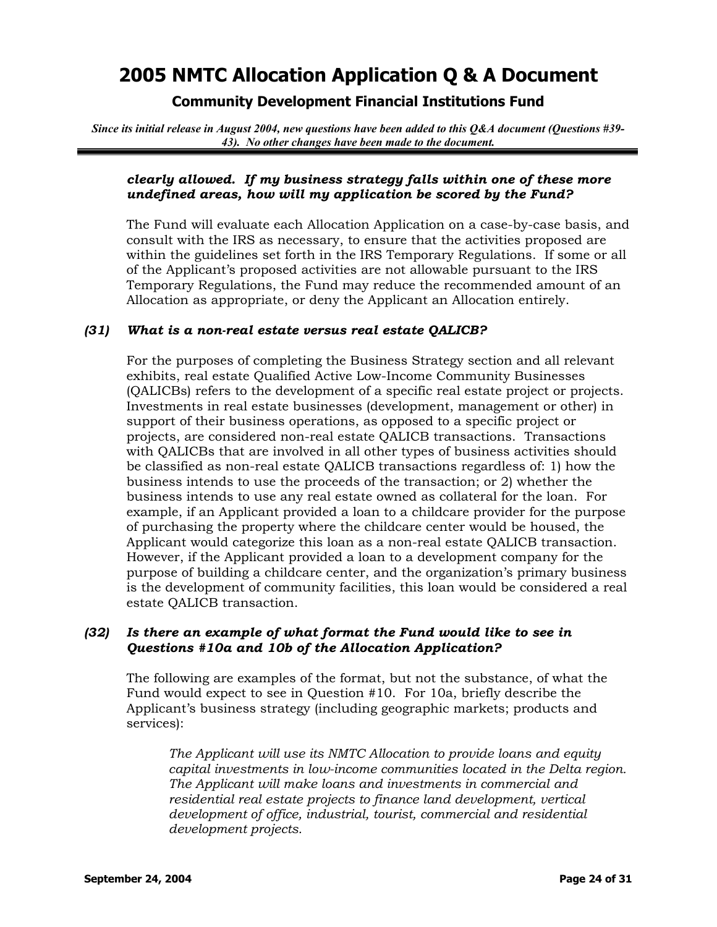## **Community Development Financial Institutions Fund**

*Since its initial release in August 2004, new questions have been added to this Q&A document (Questions #39- 43). No other changes have been made to the document.*

### *clearly allowed. If my business strategy falls within one of these more undefined areas, how will my application be scored by the Fund?*

The Fund will evaluate each Allocation Application on a case-by-case basis, and consult with the IRS as necessary, to ensure that the activities proposed are within the guidelines set forth in the IRS Temporary Regulations. If some or all of the Applicant's proposed activities are not allowable pursuant to the IRS Temporary Regulations, the Fund may reduce the recommended amount of an Allocation as appropriate, or deny the Applicant an Allocation entirely.

### *(31) What is a non-real estate versus real estate QALICB?*

For the purposes of completing the Business Strategy section and all relevant exhibits, real estate Qualified Active Low-Income Community Businesses (QALICBs) refers to the development of a specific real estate project or projects. Investments in real estate businesses (development, management or other) in support of their business operations, as opposed to a specific project or projects, are considered non-real estate QALICB transactions. Transactions with QALICBs that are involved in all other types of business activities should be classified as non-real estate QALICB transactions regardless of: 1) how the business intends to use the proceeds of the transaction; or 2) whether the business intends to use any real estate owned as collateral for the loan. For example, if an Applicant provided a loan to a childcare provider for the purpose of purchasing the property where the childcare center would be housed, the Applicant would categorize this loan as a non-real estate QALICB transaction. However, if the Applicant provided a loan to a development company for the purpose of building a childcare center, and the organization's primary business is the development of community facilities, this loan would be considered a real estate QALICB transaction.

### *(32) Is there an example of what format the Fund would like to see in Questions #10a and 10b of the Allocation Application?*

The following are examples of the format, but not the substance, of what the Fund would expect to see in Question #10. For 10a, briefly describe the Applicant's business strategy (including geographic markets; products and services):

*The Applicant will use its NMTC Allocation to provide loans and equity capital investments in low-income communities located in the Delta region. The Applicant will make loans and investments in commercial and residential real estate projects to finance land development, vertical development of office, industrial, tourist, commercial and residential development projects.*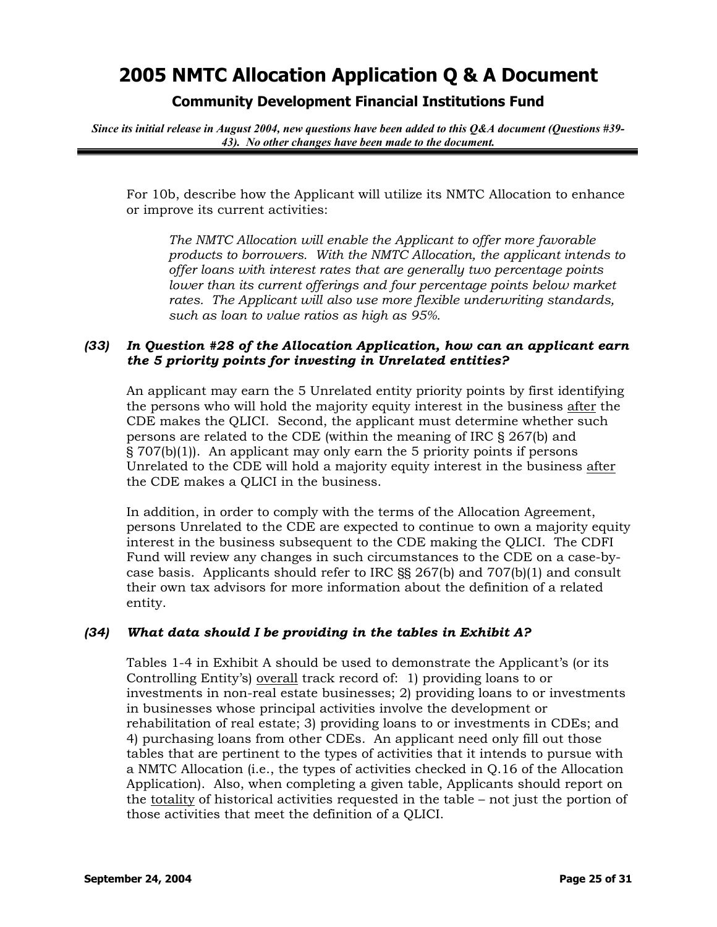**Community Development Financial Institutions Fund** 

*Since its initial release in August 2004, new questions have been added to this Q&A document (Questions #39- 43). No other changes have been made to the document.*

For 10b, describe how the Applicant will utilize its NMTC Allocation to enhance or improve its current activities:

*The NMTC Allocation will enable the Applicant to offer more favorable products to borrowers. With the NMTC Allocation, the applicant intends to offer loans with interest rates that are generally two percentage points lower than its current offerings and four percentage points below market rates. The Applicant will also use more flexible underwriting standards, such as loan to value ratios as high as 95%.*

### *(33) In Question #28 of the Allocation Application, how can an applicant earn the 5 priority points for investing in Unrelated entities?*

An applicant may earn the 5 Unrelated entity priority points by first identifying the persons who will hold the majority equity interest in the business after the CDE makes the QLICI. Second, the applicant must determine whether such persons are related to the CDE (within the meaning of IRC § 267(b) and § 707(b)(1)). An applicant may only earn the 5 priority points if persons Unrelated to the CDE will hold a majority equity interest in the business after the CDE makes a QLICI in the business.

In addition, in order to comply with the terms of the Allocation Agreement, persons Unrelated to the CDE are expected to continue to own a majority equity interest in the business subsequent to the CDE making the QLICI. The CDFI Fund will review any changes in such circumstances to the CDE on a case-bycase basis. Applicants should refer to IRC §§ 267(b) and 707(b)(1) and consult their own tax advisors for more information about the definition of a related entity.

### *(34) What data should I be providing in the tables in Exhibit A?*

Tables 1-4 in Exhibit A should be used to demonstrate the Applicant's (or its Controlling Entity's) overall track record of: 1) providing loans to or investments in non-real estate businesses; 2) providing loans to or investments in businesses whose principal activities involve the development or rehabilitation of real estate; 3) providing loans to or investments in CDEs; and 4) purchasing loans from other CDEs. An applicant need only fill out those tables that are pertinent to the types of activities that it intends to pursue with a NMTC Allocation (i.e., the types of activities checked in Q.16 of the Allocation Application). Also, when completing a given table, Applicants should report on the totality of historical activities requested in the table – not just the portion of those activities that meet the definition of a QLICI.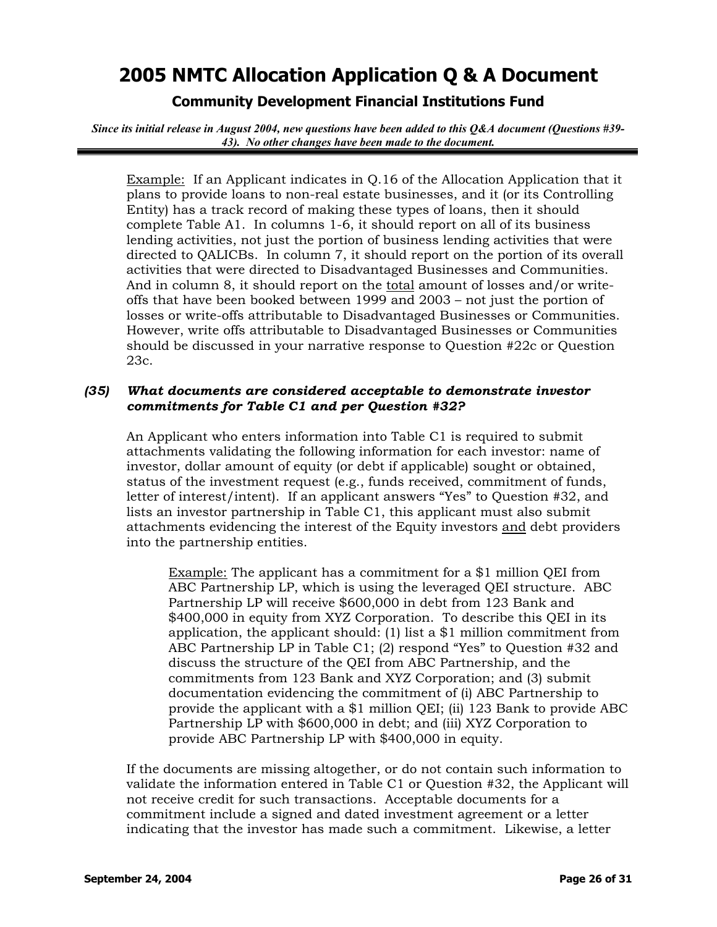## **Community Development Financial Institutions Fund**

*Since its initial release in August 2004, new questions have been added to this Q&A document (Questions #39- 43). No other changes have been made to the document.*

Example: If an Applicant indicates in Q.16 of the Allocation Application that it plans to provide loans to non-real estate businesses, and it (or its Controlling Entity) has a track record of making these types of loans, then it should complete Table A1. In columns 1-6, it should report on all of its business lending activities, not just the portion of business lending activities that were directed to QALICBs. In column 7, it should report on the portion of its overall activities that were directed to Disadvantaged Businesses and Communities. And in column 8, it should report on the total amount of losses and/or writeoffs that have been booked between 1999 and 2003 – not just the portion of losses or write-offs attributable to Disadvantaged Businesses or Communities. However, write offs attributable to Disadvantaged Businesses or Communities should be discussed in your narrative response to Question #22c or Question 23c.

### *(35) What documents are considered acceptable to demonstrate investor commitments for Table C1 and per Question #32?*

An Applicant who enters information into Table C1 is required to submit attachments validating the following information for each investor: name of investor, dollar amount of equity (or debt if applicable) sought or obtained, status of the investment request (e.g., funds received, commitment of funds, letter of interest/intent). If an applicant answers "Yes" to Question #32, and lists an investor partnership in Table C1, this applicant must also submit attachments evidencing the interest of the Equity investors and debt providers into the partnership entities.

Example: The applicant has a commitment for a \$1 million QEI from ABC Partnership LP, which is using the leveraged QEI structure. ABC Partnership LP will receive \$600,000 in debt from 123 Bank and \$400,000 in equity from XYZ Corporation. To describe this QEI in its application, the applicant should: (1) list a \$1 million commitment from ABC Partnership LP in Table C1; (2) respond "Yes" to Question #32 and discuss the structure of the QEI from ABC Partnership, and the commitments from 123 Bank and XYZ Corporation; and (3) submit documentation evidencing the commitment of (i) ABC Partnership to provide the applicant with a \$1 million QEI; (ii) 123 Bank to provide ABC Partnership LP with \$600,000 in debt; and (iii) XYZ Corporation to provide ABC Partnership LP with \$400,000 in equity.

If the documents are missing altogether, or do not contain such information to validate the information entered in Table C1 or Question #32, the Applicant will not receive credit for such transactions. Acceptable documents for a commitment include a signed and dated investment agreement or a letter indicating that the investor has made such a commitment. Likewise, a letter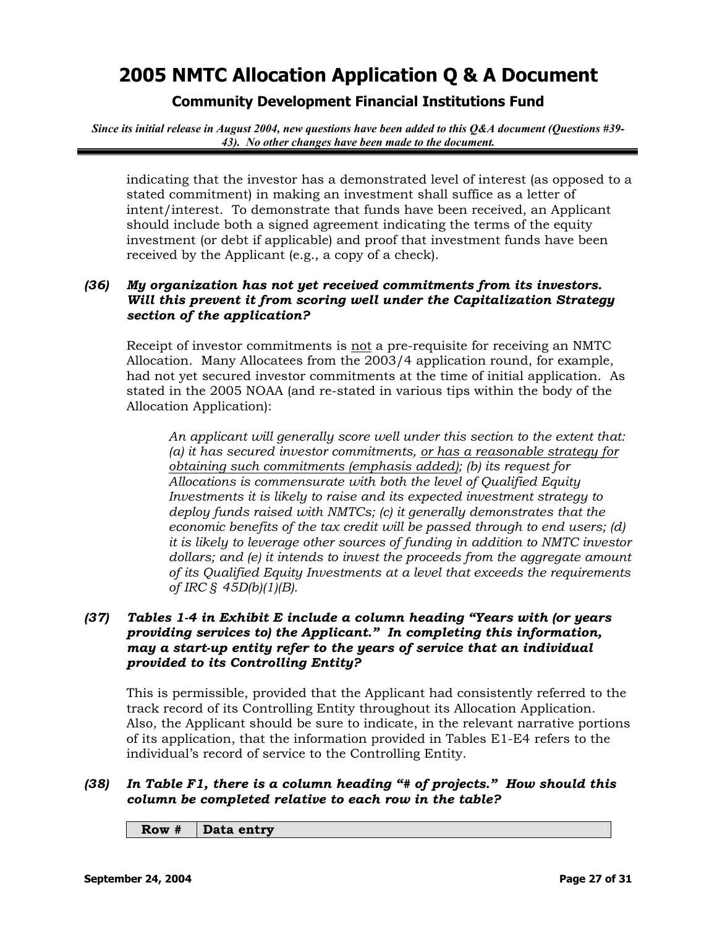## **Community Development Financial Institutions Fund**

*Since its initial release in August 2004, new questions have been added to this Q&A document (Questions #39- 43). No other changes have been made to the document.*

indicating that the investor has a demonstrated level of interest (as opposed to a stated commitment) in making an investment shall suffice as a letter of intent/interest. To demonstrate that funds have been received, an Applicant should include both a signed agreement indicating the terms of the equity investment (or debt if applicable) and proof that investment funds have been received by the Applicant (e.g., a copy of a check).

### *(36) My organization has not yet received commitments from its investors. Will this prevent it from scoring well under the Capitalization Strategy section of the application?*

Receipt of investor commitments is not a pre-requisite for receiving an NMTC Allocation. Many Allocatees from the 2003/4 application round, for example, had not yet secured investor commitments at the time of initial application. As stated in the 2005 NOAA (and re-stated in various tips within the body of the Allocation Application):

*An applicant will generally score well under this section to the extent that: (a) it has secured investor commitments, or has a reasonable strategy for obtaining such commitments (emphasis added); (b) its request for Allocations is commensurate with both the level of Qualified Equity Investments it is likely to raise and its expected investment strategy to deploy funds raised with NMTCs; (c) it generally demonstrates that the economic benefits of the tax credit will be passed through to end users; (d) it is likely to leverage other sources of funding in addition to NMTC investor dollars; and (e) it intends to invest the proceeds from the aggregate amount of its Qualified Equity Investments at a level that exceeds the requirements of IRC § 45D(b)(1)(B).* 

## *(37) Tables 1-4 in Exhibit E include a column heading "Years with (or years providing services to) the Applicant." In completing this information, may a start-up entity refer to the years of service that an individual provided to its Controlling Entity?*

This is permissible, provided that the Applicant had consistently referred to the track record of its Controlling Entity throughout its Allocation Application. Also, the Applicant should be sure to indicate, in the relevant narrative portions of its application, that the information provided in Tables E1-E4 refers to the individual's record of service to the Controlling Entity.

## *(38) In Table F1, there is a column heading "# of projects." How should this column be completed relative to each row in the table?*

#### **Row # Data entry**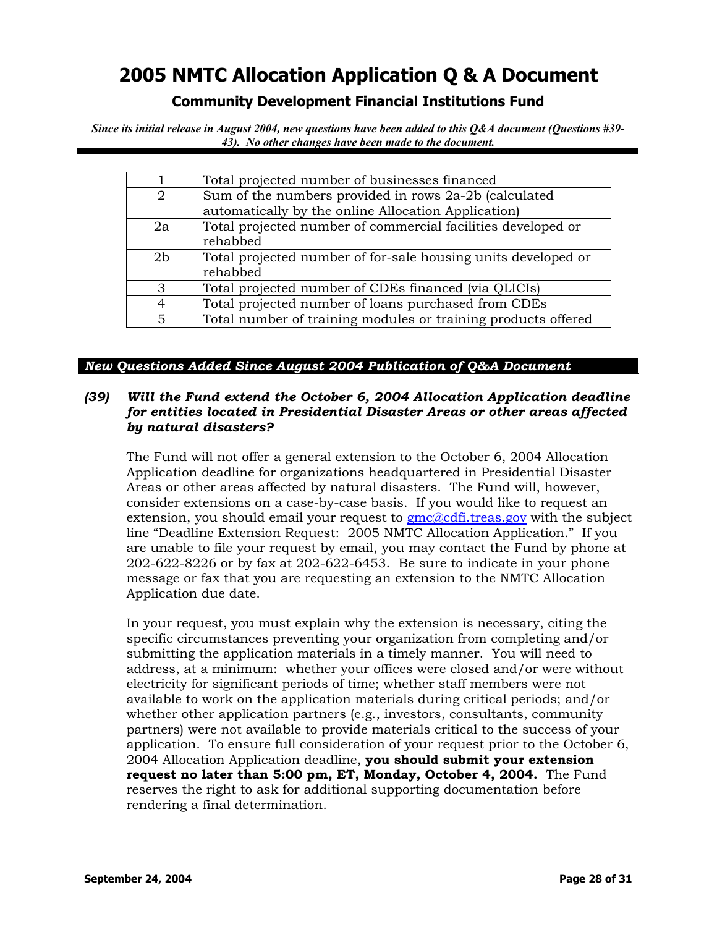## **Community Development Financial Institutions Fund**

*Since its initial release in August 2004, new questions have been added to this Q&A document (Questions #39- 43). No other changes have been made to the document.*

|                | Total projected number of businesses financed                                                                |
|----------------|--------------------------------------------------------------------------------------------------------------|
| 2              | Sum of the numbers provided in rows 2a-2b (calculated<br>automatically by the online Allocation Application) |
| 2a             | Total projected number of commercial facilities developed or<br>rehabbed                                     |
| 2 <sub>b</sub> | Total projected number of for-sale housing units developed or<br>rehabbed                                    |
| 3              | Total projected number of CDEs financed (via QLICIs)                                                         |
|                | Total projected number of loans purchased from CDEs                                                          |
| 5              | Total number of training modules or training products offered                                                |

### *New Questions Added Since August 2004 Publication of Q&A Document*

### *(39) Will the Fund extend the October 6, 2004 Allocation Application deadline for entities located in Presidential Disaster Areas or other areas affected by natural disasters?*

The Fund will not offer a general extension to the October 6, 2004 Allocation Application deadline for organizations headquartered in Presidential Disaster Areas or other areas affected by natural disasters. The Fund will, however, consider extensions on a case-by-case basis. If you would like to request an extension, you should email your request to  $\text{gmc}$   $\text{q}$  cdf. treas.gov with the subject line "Deadline Extension Request: 2005 NMTC Allocation Application." If you are unable to file your request by email, you may contact the Fund by phone at 202-622-8226 or by fax at 202-622-6453. Be sure to indicate in your phone message or fax that you are requesting an extension to the NMTC Allocation Application due date.

In your request, you must explain why the extension is necessary, citing the specific circumstances preventing your organization from completing and/or submitting the application materials in a timely manner. You will need to address, at a minimum: whether your offices were closed and/or were without electricity for significant periods of time; whether staff members were not available to work on the application materials during critical periods; and/or whether other application partners (e.g., investors, consultants, community partners) were not available to provide materials critical to the success of your application. To ensure full consideration of your request prior to the October 6, 2004 Allocation Application deadline, **you should submit your extension request no later than 5:00 pm, ET, Monday, October 4, 2004.** The Fund reserves the right to ask for additional supporting documentation before rendering a final determination.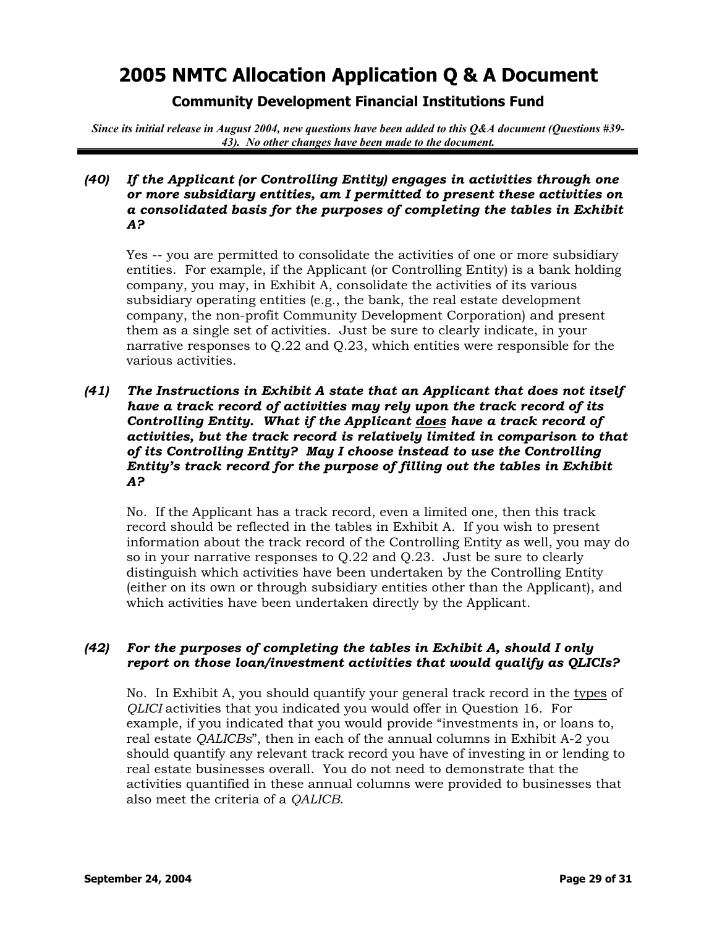**Community Development Financial Institutions Fund** 

*Since its initial release in August 2004, new questions have been added to this Q&A document (Questions #39- 43). No other changes have been made to the document.*

### *(40) If the Applicant (or Controlling Entity) engages in activities through one or more subsidiary entities, am I permitted to present these activities on a consolidated basis for the purposes of completing the tables in Exhibit A?*

Yes -- you are permitted to consolidate the activities of one or more subsidiary entities. For example, if the Applicant (or Controlling Entity) is a bank holding company, you may, in Exhibit A, consolidate the activities of its various subsidiary operating entities (e.g., the bank, the real estate development company, the non-profit Community Development Corporation) and present them as a single set of activities. Just be sure to clearly indicate, in your narrative responses to Q.22 and Q.23, which entities were responsible for the various activities.

### *(41) The Instructions in Exhibit A state that an Applicant that does not itself have a track record of activities may rely upon the track record of its Controlling Entity. What if the Applicant does have a track record of activities, but the track record is relatively limited in comparison to that of its Controlling Entity? May I choose instead to use the Controlling Entity's track record for the purpose of filling out the tables in Exhibit A?*

No. If the Applicant has a track record, even a limited one, then this track record should be reflected in the tables in Exhibit A. If you wish to present information about the track record of the Controlling Entity as well, you may do so in your narrative responses to Q.22 and Q.23. Just be sure to clearly distinguish which activities have been undertaken by the Controlling Entity (either on its own or through subsidiary entities other than the Applicant), and which activities have been undertaken directly by the Applicant.

### *(42) For the purposes of completing the tables in Exhibit A, should I only report on those loan/investment activities that would qualify as QLICIs?*

No. In Exhibit A, you should quantify your general track record in the types of *QLICI* activities that you indicated you would offer in Question 16. For example, if you indicated that you would provide "investments in, or loans to, real estate *QALICBs*", then in each of the annual columns in Exhibit A-2 you should quantify any relevant track record you have of investing in or lending to real estate businesses overall. You do not need to demonstrate that the activities quantified in these annual columns were provided to businesses that also meet the criteria of a *QALICB*.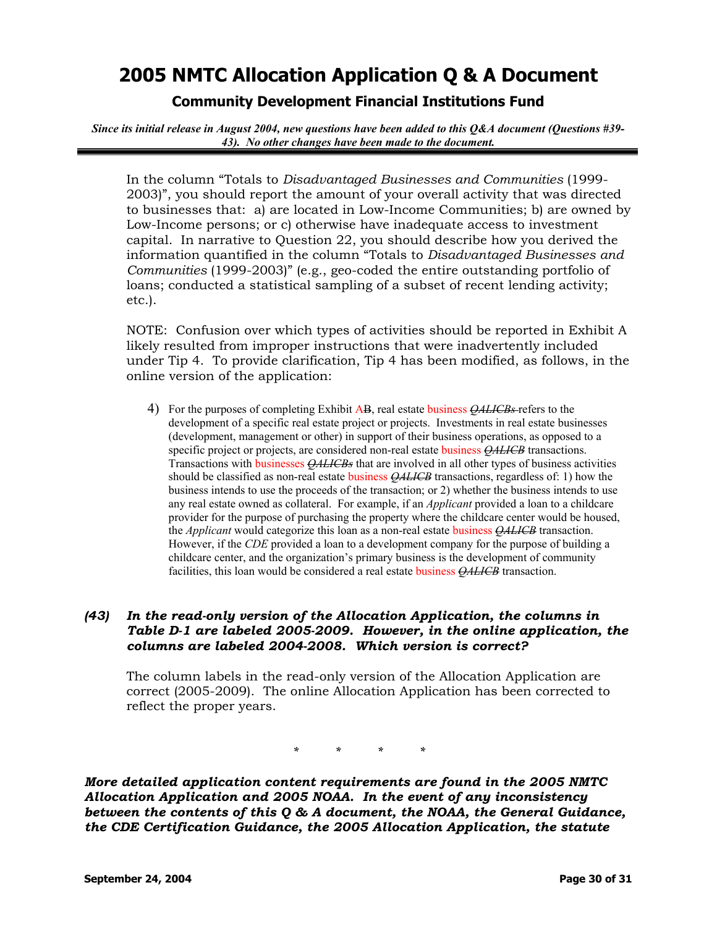**Community Development Financial Institutions Fund** 

*Since its initial release in August 2004, new questions have been added to this Q&A document (Questions #39- 43). No other changes have been made to the document.*

In the column "Totals to *Disadvantaged Businesses and Communities* (1999- 2003)", you should report the amount of your overall activity that was directed to businesses that: a) are located in Low-Income Communities; b) are owned by Low-Income persons; or c) otherwise have inadequate access to investment capital. In narrative to Question 22, you should describe how you derived the information quantified in the column "Totals to *Disadvantaged Businesses and Communities* (1999-2003)" (e.g., geo-coded the entire outstanding portfolio of loans; conducted a statistical sampling of a subset of recent lending activity; etc.).

NOTE: Confusion over which types of activities should be reported in Exhibit A likely resulted from improper instructions that were inadvertently included under Tip 4. To provide clarification, Tip 4 has been modified, as follows, in the online version of the application:

4) For the purposes of completing Exhibit AB, real estate business *QALICBs* refers to the development of a specific real estate project or projects. Investments in real estate businesses (development, management or other) in support of their business operations, as opposed to a specific project or projects, are considered non-real estate business *QALICB* transactions. Transactions with businesses *QALICBs* that are involved in all other types of business activities should be classified as non-real estate business *QALICB* transactions, regardless of: 1) how the business intends to use the proceeds of the transaction; or 2) whether the business intends to use any real estate owned as collateral. For example, if an *Applicant* provided a loan to a childcare provider for the purpose of purchasing the property where the childcare center would be housed, the *Applicant* would categorize this loan as a non-real estate business *QALICB* transaction. However, if the *CDE* provided a loan to a development company for the purpose of building a childcare center, and the organization's primary business is the development of community facilities, this loan would be considered a real estate business *QALICB* transaction.

## *(43) In the read-only version of the Allocation Application, the columns in Table D-1 are labeled 2005-2009. However, in the online application, the columns are labeled 2004-2008. Which version is correct?*

The column labels in the read-only version of the Allocation Application are correct (2005-2009). The online Allocation Application has been corrected to reflect the proper years.

*\* \* \* \**

*More detailed application content requirements are found in the 2005 NMTC Allocation Application and 2005 NOAA. In the event of any inconsistency between the contents of this Q & A document, the NOAA, the General Guidance, the CDE Certification Guidance, the 2005 Allocation Application, the statute*